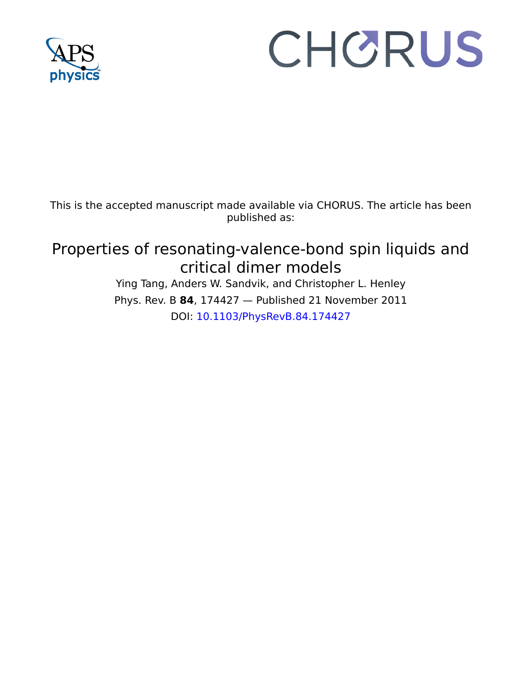

# CHORUS

This is the accepted manuscript made available via CHORUS. The article has been published as:

# Properties of resonating-valence-bond spin liquids and critical dimer models

Ying Tang, Anders W. Sandvik, and Christopher L. Henley Phys. Rev. B **84**, 174427 — Published 21 November 2011 DOI: [10.1103/PhysRevB.84.174427](http://dx.doi.org/10.1103/PhysRevB.84.174427)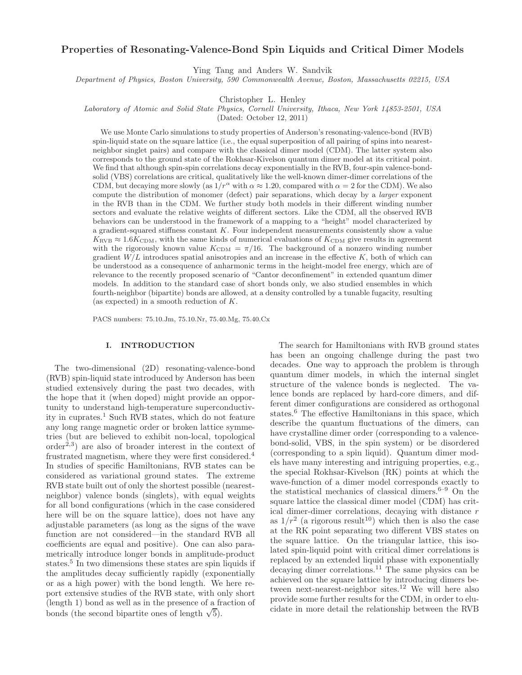# Properties of Resonating-Valence-Bond Spin Liquids and Critical Dimer Models

Ying Tang and Anders W. Sandvik

Department of Physics, Boston University, 590 Commonwealth Avenue, Boston, Massachusetts 02215, USA

Christopher L. Henley

Laboratory of Atomic and Solid State Physics, Cornell University, Ithaca, New York 14853-2501, USA

(Dated: October 12, 2011)

RVB than in the CDM. We further study both models in their comparison be understood in the framework of a mapping to a "height" controscan be understood in the framework of a mapping to a "height" controscant  $W/L$  introdu soluti (VBS) correlations are critical, unit<br>intributely like the self-action and critical constrained in the critical method in the stationary of the stationary of the stationary of the stationary of the stationary of th We use Monte Carlo simulations to study properties of Anderson's resonating-valence-bond (RVB) spin-liquid state on the square lattice (i.e., the equal superposition of all pairing of spins into nearestneighbor singlet pairs) and compare with the classical dimer model (CDM). The latter system also corresponds to the ground state of the Rokhsar-Kivelson quantum dimer model at its critical point. We find that although spin-spin correlations decay exponentially in the RVB, four-spin valence-bondsolid (VBS) correlations are critical, qualitatively like the well-known dimer-dimer correlations of the CDM, but decaying more slowly (as  $1/r^{\alpha}$  with  $\alpha \approx 1.20$ , compared with  $\alpha = 2$  for the CDM). We also compute the distribution of monomer (defect) pair separations, which decay by a larger exponent in the RVB than in the CDM. We further study both models in their different winding number sectors and evaluate the relative weights of different sectors. Like the CDM, all the observed RVB behaviors can be understood in the framework of a mapping to a "height" model characterized by a gradient-squared stiffness constant K. Four independent measurements consistently show a value  $K_{\text{RVB}} \approx 1.6 K_{\text{CDM}}$ , with the same kinds of numerical evaluations of  $K_{\text{CDM}}$  give results in agreement with the rigorously known value  $K_{\text{CDM}} = \pi/16$ . The background of a nonzero winding number gradient  $W/L$  introduces spatial anisotropies and an increase in the effective  $K$ , both of which can be understood as a consequence of anharmonic terms in the height-model free energy, which are of relevance to the recently proposed scenario of "Cantor deconfinement" in extended quantum dimer models. In addition to the standard case of short bonds only, we also studied ensembles in which fourth-neighbor (bipartite) bonds are allowed, at a density controlled by a tunable fugacity, resulting (as expected) in a smooth reduction of K.

PACS numbers: 75.10.Jm, 75.10.Nr, 75.40.Mg, 75.40.Cx

# I. INTRODUCTION

The two-dimensional (2D) resonating-valence-bond (RVB) spin-liquid state introduced by Anderson has been studied extensively during the past two decades, with the hope that it (when doped) might provide an opportunity to understand high-temperature superconductivity in cuprates.<sup>1</sup> Such RVB states, which do not feature any long range magnetic order or broken lattice symmetries (but are believed to exhibit non-local, topological  $order<sup>2,3</sup>$  are also of broader interest in the context of frustrated magnetism, where they were first considered.<sup>4</sup> In studies of specific Hamiltonians, RVB states can be considered as variational ground states. The extreme RVB state built out of only the shortest possible (nearestneighbor) valence bonds (singlets), with equal weights for all bond configurations (which in the case considered here will be on the square lattice), does not have any adjustable parameters (as long as the signs of the wave function are not considered—in the standard RVB all coefficients are equal and positive). One can also parametrically introduce longer bonds in amplitude-product states.<sup>5</sup> In two dimensions these states are spin liquids if the amplitudes decay sufficiently rapidly (exponentially or as a high power) with the bond length. We here report extensive studies of the RVB state, with only short (length 1) bond as well as in the presence of a fraction of bonds (the second bipartite ones of length  $\sqrt{5}$ ).

The search for Hamiltonians with RVB ground states has been an ongoing challenge during the past two decades. One way to approach the problem is through quantum dimer models, in which the internal singlet structure of the valence bonds is neglected. The valence bonds are replaced by hard-core dimers, and different dimer configurations are considered as orthogonal states.<sup>6</sup> The effective Hamiltonians in this space, which describe the quantum fluctuations of the dimers, can have crystalline dimer order (corresponding to a valencebond-solid, VBS, in the spin system) or be disordered (corresponding to a spin liquid). Quantum dimer models have many interesting and intriguing properties, e.g., the special Rokhsar-Kivelson (RK) points at which the wave-function of a dimer model corresponds exactly to the statistical mechanics of classical dimers. $6-9$  On the square lattice the classical dimer model (CDM) has critical dimer-dimer correlations, decaying with distance r as  $1/r^2$  (a rigorous result<sup>10</sup>) which then is also the case at the RK point separating two different VBS states on the square lattice. On the triangular lattice, this isolated spin-liquid point with critical dimer correlations is replaced by an extended liquid phase with exponentially decaying dimer correlations.<sup>11</sup> The same physics can be achieved on the square lattice by introducing dimers between next-nearest-neighbor sites.<sup>12</sup> We will here also provide some further results for the CDM, in order to elucidate in more detail the relationship between the RVB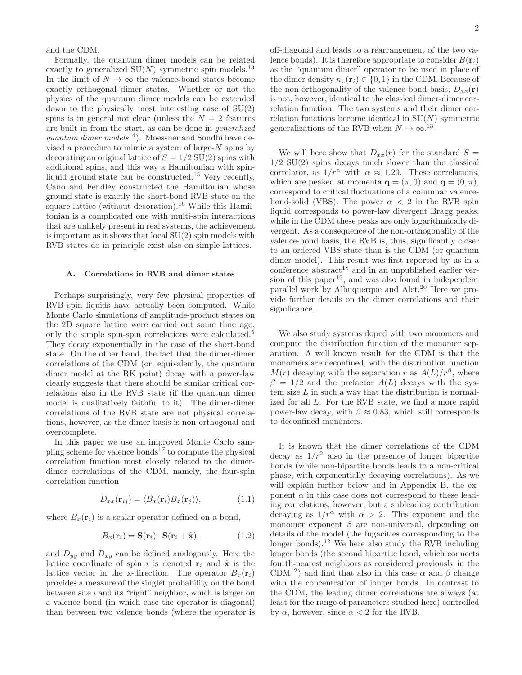and the CDM.

Formally, the quantum dimer models can be related exactly to generalized  $SU(N)$  symmetric spin models.<sup>13</sup> In the limit of  $N \to \infty$  the valence-bond states become exactly orthogonal dimer states. Whether or not the physics of the quantum dimer models can be extended down to the physically most interesting case of SU(2) spins is in general not clear (unless the  $N = 2$  features are built in from the start, as can be done in generalized quantum dimer models<sup>14</sup>). Moessner and Sondhi have devised a procedure to mimic a system of large- $N$  spins by decorating an original lattice of  $S = 1/2$  SU(2) spins with additional spins, and this way a Hamiltonian with spinliquid ground state can be constructed.<sup>15</sup> Very recently, Cano and Fendley constructed the Hamiltonian whose ground state is exactly the short-bond RVB state on the square lattice (without decoration).<sup>16</sup> While this Hamiltonian is a complicated one with multi-spin interactions that are unlikely present in real systems, the achievement is important as it shows that local SU(2) spin models with RVB states do in principle exist also on simple lattices.

#### A. Correlations in RVB and dimer states

Perhaps surprisingly, very few physical properties of RVB spin liquids have actually been computed. While Monte Carlo simulations of amplitude-product states on the 2D square lattice were carried out some time ago, only the simple spin-spin correlations were calculated.<sup>5</sup> They decay exponentially in the case of the short-bond state. On the other hand, the fact that the dimer-dimer correlations of the CDM (or, equivalently, the quantum dimer model at the RK point) decay with a power-law clearly suggests that there should be similar critical correlations also in the RVB state (if the quantum dimer model is qualitatively faithful to it). The dimer-dimer correlations of the RVB state are not physical correlations, however, as the dimer basis is non-orthogonal and overcomplete.

In this paper we use an improved Monte Carlo sampling scheme for valence bonds<sup>17</sup> to compute the physical correlation function most closely related to the dimerdimer correlations of the CDM, namely, the four-spin correlation function

$$
D_{xx}(\mathbf{r}_{ij}) = \langle B_x(\mathbf{r}_i) B_x(\mathbf{r}_j) \rangle, \tag{1.1}
$$

where  $B_x(\mathbf{r}_i)$  is a scalar operator defined on a bond,

$$
B_x(\mathbf{r}_i) = \mathbf{S}(\mathbf{r}_i) \cdot \mathbf{S}(\mathbf{r}_i + \hat{\mathbf{x}}), \tag{1.2}
$$

and  $D_{yy}$  and  $D_{xy}$  can be defined analogously. Here the lattice coordinate of spin i is denoted  $\mathbf{r}_i$  and  $\hat{\mathbf{x}}$  is the lattice vector in the x-direction. The operator  $B_x(\mathbf{r}_i)$ provides a measure of the singlet probability on the bond between site  $i$  and its "right" neighbor, which is larger on a valence bond (in which case the operator is diagonal) than between two valence bonds (where the operator is

off-diagonal and leads to a rearrangement of the two valence bonds). It is therefore appropriate to consider  $B(\mathbf{r}_i)$ as the "quantum dimer" operator to be used in place of the dimer density  $n_x(\mathbf{r}_i) \in \{0,1\}$  in the CDM. Because of the non-orthogonality of the valence-bond basis,  $D_{xx}(\mathbf{r})$ is not, however, identical to the classical dimer-dimer correlation function. The two systems and their dimer correlation functions become identical in  $SU(N)$  symmetric generalizations of the RVB when  $N \to \infty$ .<sup>13</sup>

We will here show that  $D_{xx}(r)$  for the standard  $S =$  $1/2$  SU(2) spins decays much slower than the classical correlator, as  $1/r^{\alpha}$  with  $\alpha \approx 1.20$ . These correlations, which are peaked at momenta  $\mathbf{q} = (\pi, 0)$  and  $\mathbf{q} = (0, \pi)$ , correspond to critical fluctuations of a columnar valencebond-solid (VBS). The power  $\alpha < 2$  in the RVB spin liquid corresponds to power-law divergent Bragg peaks, while in the CDM these peaks are only logarithmically divergent. As a consequence of the non-orthogonality of the valence-bond basis, the RVB is, thus, significantly closer to an ordered VBS state than is the CDM (or quantum dimer model). This result was first reported by us in a conference abstract<sup>18</sup> and in an unpublished earlier version of this paper<sup>19</sup>, and was also found in independent parallel work by Albuquerque and Alet.<sup>20</sup> Here we provide further details on the dimer correlations and their significance.

We also study systems doped with two monomers and compute the distribution function of the monomer separation. A well known result for the CDM is that the monomers are deconfined, with the distribution function  $M(r)$  decaying with the separation r as  $A(L)/r^{\beta}$ , where  $\beta = 1/2$  and the prefactor  $A(L)$  decays with the system size  $L$  in such a way that the distribution is normalized for all L. For the RVB state, we find a more rapid power-law decay, with  $\beta \approx 0.83$ , which still corresponds to deconfined monomers.

It is known that the dimer correlations of the CDM decay as  $1/r^2$  also in the presence of longer bipartite bonds (while non-bipartite bonds leads to a non-critical phase, with exponentially decaying correlations). As we will explain further below and in Appendix B, the exponent  $\alpha$  in this case does not correspond to these leading correlations, however, but a subleading contribution decaying as  $1/r^{\alpha}$  with  $\alpha > 2$ . This exponent and the monomer exponent  $\beta$  are non-universal, depending on details of the model (the fugacities corresponding to the longer bonds).<sup>12</sup> We here also study the RVB including longer bonds (the second bipartite bond, which connects fourth-nearest neighbors as considered previously in the CDM<sup>12</sup>) and find that also in this case  $\alpha$  and  $\beta$  change with the concentration of longer bonds. In contrast to the CDM, the leading dimer correlations are always (at least for the range of parameters studied here) controlled by  $\alpha$ , however, since  $\alpha < 2$  for the RVB.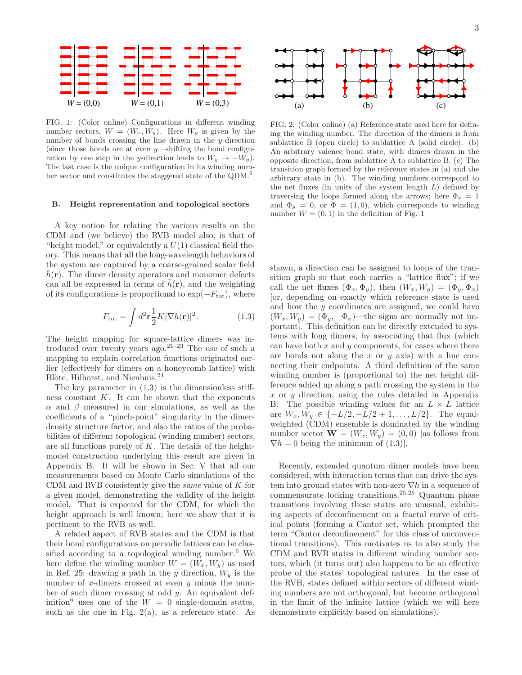

FIG. 1: (Color online) Configurations in different winding number sectors,  $W = (W_x, W_y)$ . Here  $W_y$  is given by the number of bonds crossing the line drawn in the y-direction (since those bonds are at even  $y$ —shifting the bond configuration by one step in the y-direction leads to  $W_y \rightarrow -W_y$ . The last case is the unique configuration in its winding number sector and constitutes the staggered state of the QDM.<sup>6</sup>

#### B. Height representation and topological sectors

A key notion for relating the various results on the CDM and (we believe) the RVB model also, is that of "height model," or equivalently a  $U(1)$  classical field theory. This means that all the long-wavelength behaviors of the system are captured by a coarse-grained scalar field  $h(\mathbf{r})$ . The dimer density operators and monomer defects can all be expressed in terms of  $\bar{h}(\mathbf{r})$ , and the weighting of its configurations is proportional to  $\exp(-F_{\text{tot}})$ , where

$$
F_{\text{tot}} = \int d^2 \mathbf{r} \frac{1}{2} K |\nabla \bar{h}(\mathbf{r})|^2. \tag{1.3}
$$

The height mapping for square-lattice dimers was introduced over twenty years ago.<sup>21–23</sup> The use of such a mapping to explain correlation functions originated earlier (effectively for dimers on a honeycomb lattice) with Blöte, Hilhorst, and Nienhuis.<sup>24</sup>

The key parameter in (1.3) is the dimensionless stiffness constant  $K$ . It can be shown that the exponents  $\alpha$  and  $\beta$  measured in our simulations, as well as the coefficients of a "pinch-point" singularity in the dimerdensity structure factor, and also the ratios of the probabilities of different topological (winding number) sectors, are all functions purely of  $K$ . The details of the heightmodel construction underlying this result are given in Appendix B. It will be shown in Sec. V that all our measurements based on Monte Carlo simulations of the CDM and RVB consistently give the same value of K for a given model, demonstrating the validity of the height model. That is expected for the CDM, for which the height approach is well known; here we show that it is pertinent to the RVB as well.

A related aspect of RVB states and the CDM is that their bond configurations on periodic lattices can be classified according to a topological winding number.<sup>6</sup> We here define the winding number  $W = (W_x, W_y)$  as used in Ref. 25: drawing a path in the y direction,  $W_y$  is the number of x-dimers crossed at even  $y$  minus the number of such dimer crossing at odd y. An equivalent definition<sup>6</sup> uses one of the  $W = 0$  single-domain states, such as the one in Fig.  $2(a)$ , as a reference state. As



FIG. 2: (Color online) (a) Reference state used here for defining the winding number. The direction of the dimers is from sublattice B (open circle) to sublattice A (solid circle). (b) An arbitrary valence bond state, with dimers drawn in the opposite direction, from sublattice A to sublattice B. (c) The transition graph formed by the reference states in (a) and the arbitrary state in (b). The winding numbers correspond to the net fluxes (in units of the system length  $L$ ) defined by traversing the loops formed along the arrows; here  $\Phi_x = 1$ and  $\Phi_y = 0$ , or  $\Phi = (1, 0)$ , which corresponds to winding number  $W = (0, 1)$  in the definition of Fig. 1

shown, a direction can be assigned to loops of the transition graph so that each carries a "lattice flux"; if we call the net fluxes  $(\Phi_x, \Phi_y)$ , then  $(W_x, W_y) = (\Phi_y, \Phi_x)$ [or, depending on exactly which reference state is used and how the y coordinates are assigned, we could have  $(W_x, W_y) = (\Phi_y, -\Phi_x)$ —the signs are normally not important]. This definition can be directly extended to systems with long dimers, by associating that flux (which can have both  $x$  and  $y$  components, for cases where there are bonds not along the x or  $y$  axis) with a line connecting their endpoints. A third definition of the same winding number is (proportional to) the net height difference added up along a path crossing the system in the  $x$  or  $y$  direction, using the rules detailed in Appendix B. The possible winding values for an  $L \times L$  lattice are  $W_x, W_y \in \{-L/2, -L/2+1, \ldots, L/2\}$ . The equalweighted (CDM) ensemble is dominated by the winding number sector  $\mathbf{W} = (W_x, W_y) = (0, 0)$  [as follows from  $\nabla h = 0$  being the minimum of  $(1.3)$ .

Recently, extended quantum dimer models have been considered, with interaction terms that can drive the system into ground states with non-zero  $\nabla h$  in a sequence of commensurate locking transitions.25,26 Quantum phase transitions involving these states are unusual, exhibiting aspects of deconfinement on a fractal curve of critical points (forming a Cantor set, which prompted the term "Cantor deconfinement" for this class of unconventional transitions). This motivates us to also study the CDM and RVB states in different winding number sectors, which (it turns out) also happens to be an effective probe of the states' topological natures. In the case of the RVB, states defined within sectors of different winding numbers are not orthogonal, but become orthogonal in the limit of the infinite lattice (which we will here demonstrate explicitly based on simulations).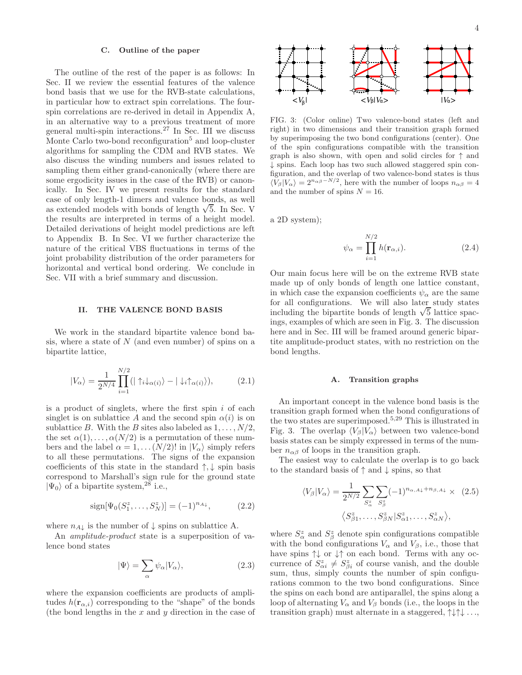#### C. Outline of the paper

The outline of the rest of the paper is as follows: In Sec. II we review the essential features of the valence bond basis that we use for the RVB-state calculations, in particular how to extract spin correlations. The fourspin correlations are re-derived in detail in Appendix A, in an alternative way to a previous treatment of more general multi-spin interactions.<sup>27</sup> In Sec. III we discuss Monte Carlo two-bond reconfiguration<sup>5</sup> and loop-cluster algorithms for sampling the CDM and RVB states. We also discuss the winding numbers and issues related to sampling them either grand-canonically (where there are some ergodicity issues in the case of the RVB) or canonically. In Sec. IV we present results for the standard case of only length-1 dimers and valence bonds, as well as extended models with bonds of length  $\sqrt{5}$ . In Sec. V the results are interpreted in terms of a height model. Detailed derivations of height model predictions are left to Appendix B. In Sec. VI we further characterize the nature of the critical VBS fluctuations in terms of the joint probability distribution of the order parameters for horizontal and vertical bond ordering. We conclude in Sec. VII with a brief summary and discussion.

#### II. THE VALENCE BOND BASIS

We work in the standard bipartite valence bond basis, where a state of  $N$  (and even number) of spins on a bipartite lattice,

$$
|V_{\alpha}\rangle = \frac{1}{2^{N/4}} \prod_{i=1}^{N/2} (|\uparrow_{i} \downarrow_{\alpha(i)}\rangle - |\downarrow_{i} \uparrow_{\alpha(i)}\rangle), \tag{2.1}
$$

is a product of singlets, where the first spin  $i$  of each singlet is on sublattice A and the second spin  $\alpha(i)$  is on sublattice B. With the B sites also labeled as  $1, \ldots, N/2$ , the set  $\alpha(1), \ldots, \alpha(N/2)$  is a permutation of these numbers and the label  $\alpha = 1, \ldots (N/2)!$  in  $|V_{\alpha}\rangle$  simply refers to all these permutations. The signs of the expansion coefficients of this state in the standard  $\uparrow, \downarrow$  spin basis correspond to Marshall's sign rule for the ground state  $|\Psi_0\rangle$  of a bipartite system,<sup>28</sup> i.e.,

$$
sign[\Psi_0(S_1^z, \dots, S_N^z)] = (-1)^{n_{A\downarrow}}, \tag{2.2}
$$

where  $n_{A\downarrow}$  is the number of  $\downarrow$  spins on sublattice A.

An amplitude-product state is a superposition of valence bond states

$$
|\Psi\rangle = \sum_{\alpha} \psi_{\alpha} |V_{\alpha}\rangle, \qquad (2.3)
$$

where the expansion coefficients are products of amplitudes  $h(\mathbf{r}_{\alpha,i})$  corresponding to the "shape" of the bonds (the bond lengths in the  $x$  and  $y$  direction in the case of



FIG. 3: (Color online) Two valence-bond states (left and right) in two dimensions and their transition graph formed by superimposing the two bond configurations (center). One of the spin configurations compatible with the transition graph is also shown, with open and solid circles for  $\uparrow$  and ↓ spins. Each loop has two such allowed staggered spin configuration, and the overlap of two valence-bond states is thus  $\langle V_\beta | V_\alpha \rangle = 2^{n_{\alpha\beta}-N/2}$ , here with the number of loops  $n_{\alpha\beta} = 4$ and the number of spins  $N = 16$ .

a 2D system);

$$
\psi_{\alpha} = \prod_{i=1}^{N/2} h(\mathbf{r}_{\alpha,i}).
$$
\n(2.4)

Our main focus here will be on the extreme RVB state made up of only bonds of length one lattice constant, in which case the expansion coefficients  $\psi_{\alpha}$  are the same for all configurations. We will also later study states including the bipartite bonds of length  $\sqrt{5}$  lattice spacings, examples of which are seen in Fig. 3. The discussion here and in Sec. III will be framed around generic bipartite amplitude-product states, with no restriction on the bond lengths.

#### A. Transition graphs

An important concept in the valence bond basis is the transition graph formed when the bond configurations of the two states are superimposed.5,29 This is illustrated in Fig. 3. The overlap  $\langle V_\beta | V_\alpha \rangle$  between two valence-bond basis states can be simply expressed in terms of the number  $n_{\alpha\beta}$  of loops in the transition graph.

The easiest way to calculate the overlap is to go back to the standard basis of ↑ and ↓ spins, so that

$$
\langle V_{\beta}|V_{\alpha}\rangle = \frac{1}{2^{N/2}} \sum_{S_{\alpha}^{z}} \sum_{S_{\beta}^{z}} (-1)^{n_{\alpha,A\downarrow}+n_{\beta,A\downarrow}} \times (2.5)
$$

$$
\langle S_{\beta 1}^{z}, \dots, S_{\beta N}^{z}|S_{\alpha 1}^{z}, \dots, S_{\alpha N}^{z}\rangle,
$$

where  $S^z_\alpha$  and  $S^z_\beta$  denote spin configurations compatible with the bond configurations  $V_{\alpha}$  and  $V_{\beta}$ , i.e., those that have spins  $\uparrow\downarrow$  or  $\downarrow\uparrow$  on each bond. Terms with any occurrence of  $S_{\alpha i}^z \neq S_{\beta i}^z$  of course vanish, and the double sum, thus, simply counts the number of spin configurations common to the two bond configurations. Since the spins on each bond are antiparallel, the spins along a loop of alternating  $V_\alpha$  and  $V_\beta$  bonds (i.e., the loops in the transition graph) must alternate in a staggered,  $\uparrow \downarrow \uparrow \downarrow \ldots$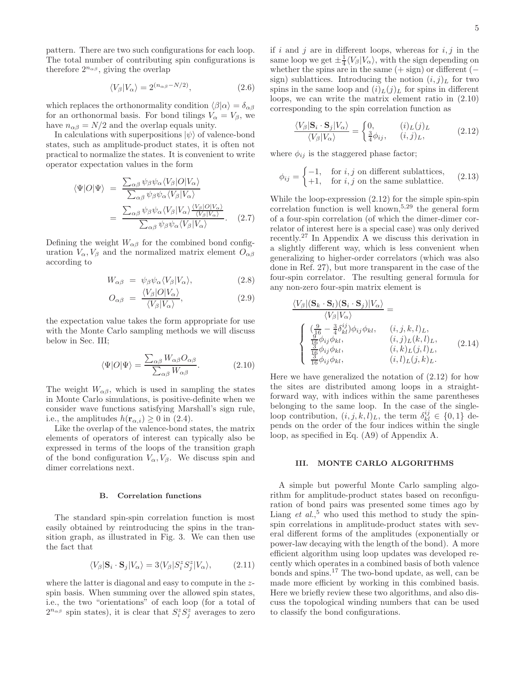pattern. There are two such configurations for each loop. The total number of contributing spin configurations is therefore  $2^{n_{\alpha\beta}}$ , giving the overlap

$$
\langle V_{\beta} | V_{\alpha} \rangle = 2^{(n_{\alpha\beta} - N/2)}, \qquad (2.6)
$$

which replaces the orthonormality condition  $\langle \beta | \alpha \rangle = \delta_{\alpha\beta}$ for an orthonormal basis. For bond tilings  $V_{\alpha} = V_{\beta}$ , we have  $n_{\alpha\beta} = N/2$  and the overlap equals unity.

In calculations with superpositions  $|\psi\rangle$  of valence-bond states, such as amplitude-product states, it is often not practical to normalize the states. It is convenient to write operator expectation values in the form

$$
\langle \Psi | O | \Psi \rangle = \frac{\sum_{\alpha \beta} \psi_{\beta} \psi_{\alpha} \langle V_{\beta} | O | V_{\alpha} \rangle}{\sum_{\alpha \beta} \psi_{\beta} \psi_{\alpha} \langle V_{\beta} | V_{\alpha} \rangle}
$$

$$
= \frac{\sum_{\alpha \beta} \psi_{\beta} \psi_{\alpha} \langle V_{\beta} | V_{\alpha} \rangle \frac{\langle V_{\beta} | O | V_{\alpha} \rangle}{\langle V_{\beta} | V_{\alpha} \rangle}}{\sum_{\alpha \beta} \psi_{\beta} \psi_{\alpha} \langle V_{\beta} | V_{\alpha} \rangle}.
$$
 (2.7)

Defining the weight  $W_{\alpha\beta}$  for the combined bond configuration  $V_{\alpha}$ ,  $V_{\beta}$  and the normalized matrix element  $O_{\alpha\beta}$ according to

$$
W_{\alpha\beta} = \psi_{\beta}\psi_{\alpha}\langle V_{\beta}|V_{\alpha}\rangle, \tag{2.8}
$$

$$
O_{\alpha\beta} = \frac{\langle V_{\beta} | O | V_{\alpha} \rangle}{\langle V_{\beta} | V_{\alpha} \rangle}, \tag{2.9}
$$

the expectation value takes the form appropriate for use with the Monte Carlo sampling methods we will discuss below in Sec. III;

$$
\langle \Psi | O | \Psi \rangle = \frac{\sum_{\alpha \beta} W_{\alpha \beta} O_{\alpha \beta}}{\sum_{\alpha \beta} W_{\alpha \beta}}.
$$
 (2.10)

The weight  $W_{\alpha\beta}$ , which is used in sampling the states in Monte Carlo simulations, is positive-definite when we consider wave functions satisfying Marshall's sign rule, i.e., the amplitudes  $h(\mathbf{r}_{\alpha,i}) \geq 0$  in (2.4).

Like the overlap of the valence-bond states, the matrix elements of operators of interest can typically also be expressed in terms of the loops of the transition graph of the bond configuration  $V_{\alpha}$ ,  $V_{\beta}$ . We discuss spin and dimer correlations next.

#### B. Correlation functions

The standard spin-spin correlation function is most easily obtained by reintroducing the spins in the transition graph, as illustrated in Fig. 3. We can then use the fact that

$$
\langle V_{\beta} | \mathbf{S}_i \cdot \mathbf{S}_j | V_{\alpha} \rangle = 3 \langle V_{\beta} | S_i^z S_j^z | V_{\alpha} \rangle, \tag{2.11}
$$

where the latter is diagonal and easy to compute in the zspin basis. When summing over the allowed spin states, i.e., the two "orientations" of each loop (for a total of  $2^{n_{\alpha\beta}}$  spin states), it is clear that  $S_i^z S_j^z$  averages to zero

if i and j are in different loops, whereas for  $i, j$  in the same loop we get  $\pm \frac{1}{4} \langle V_\beta | V_\alpha \rangle$ , with the sign depending on whether the spins are in the same  $(+$  sign) or different  $($ sign) sublattices. Introducing the notion  $(i, j)_L$  for two spins in the same loop and  $(i)_L(j)_L$  for spins in different loops, we can write the matrix element ratio in (2.10) corresponding to the spin correlation function as

$$
\frac{\langle V_{\beta} | \mathbf{S}_i \cdot \mathbf{S}_j | V_{\alpha} \rangle}{\langle V_{\beta} | V_{\alpha} \rangle} = \begin{cases} 0, & (i)_{L}(j)_{L} \\ \frac{3}{4} \phi_{ij}, & (i, j)_{L}, \end{cases}
$$
(2.12)

where  $\phi_{ij}$  is the staggered phase factor;

$$
\phi_{ij} = \begin{cases} -1, & \text{for } i, j \text{ on different sublattices,} \\ +1, & \text{for } i, j \text{ on the same sublattice.} \end{cases} \tag{2.13}
$$

While the loop-expression (2.12) for the simple spin-spin correlation function is well known,<sup>5,29</sup> the general form of a four-spin correlation (of which the dimer-dimer correlator of interest here is a special case) was only derived recently.<sup>27</sup> In Appendix A we discuss this derivation in a slightly different way, which is less convenient when generalizing to higher-order correlators (which was also done in Ref. 27), but more transparent in the case of the four-spin correlator. The resulting general formula for any non-zero four-spin matrix element is

$$
\frac{\langle V_{\beta} | (\mathbf{S}_k \cdot \mathbf{S}_l) (\mathbf{S}_i \cdot \mathbf{S}_j) | V_{\alpha} \rangle}{\langle V_{\beta} | V_{\alpha} \rangle} =
$$
\n
$$
\begin{cases}\n\frac{\left( \frac{9}{16} - \frac{3}{4} \delta_{kl}^{ij} \right) \phi_{ij} \phi_{kl}}{\left( \frac{9}{16} \phi_{ij} \phi_{kl}, \right.} & (i, j, k, l)_{L}, \\
\frac{1}{16} \phi_{ij} \phi_{kl}, & (i, j)_{L} (k, l)_{L}, \\
\frac{3}{16} \phi_{ij} \phi_{kl}, & (i, k)_{L} (j, l)_{L}, \\
\frac{3}{16} \phi_{ij} \phi_{kl}, & (i, l)_{L} (j, k)_{L}.\n\end{cases}
$$
\n(2.14)

Here we have generalized the notation of (2.12) for how the sites are distributed among loops in a straightforward way, with indices within the same parentheses belonging to the same loop. In the case of the singleloop contribution,  $(i, j, k, l)$ <sub>L</sub>, the term  $\delta_{kl}^{ij} \in \{0, 1\}$  depends on the order of the four indices within the single loop, as specified in Eq. (A9) of Appendix A.

# III. MONTE CARLO ALGORITHMS

A simple but powerful Monte Carlo sampling algorithm for amplitude-product states based on reconfiguration of bond pairs was presented some times ago by Liang  $et \ al.^5$  who used this method to study the spinspin correlations in amplitude-product states with several different forms of the amplitudes (exponentially or power-law decaying with the length of the bond). A more efficient algorithm using loop updates was developed recently which operates in a combined basis of both valence bonds and spins.<sup>17</sup> The two-bond update, as well, can be made more efficient by working in this combined basis. Here we briefly review these two algorithms, and also discuss the topological winding numbers that can be used to classify the bond configurations.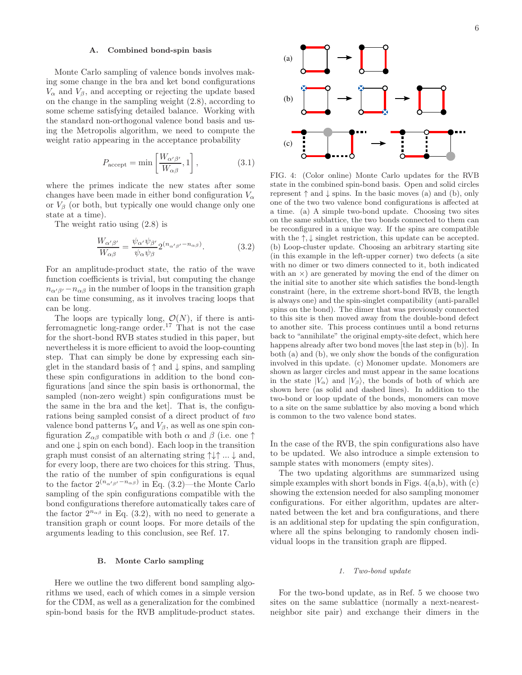#### A. Combined bond-spin basis

Monte Carlo sampling of valence bonds involves making some change in the bra and ket bond configurations  $V_{\alpha}$  and  $V_{\beta}$ , and accepting or rejecting the update based on the change in the sampling weight (2.8), according to some scheme satisfying detailed balance. Working with the standard non-orthogonal valence bond basis and using the Metropolis algorithm, we need to compute the weight ratio appearing in the acceptance probability

$$
P_{\text{accept}} = \min\left[\frac{W_{\alpha'\beta'}}{W_{\alpha\beta}}, 1\right],\tag{3.1}
$$

where the primes indicate the new states after some changes have been made in either bond configuration  $V_{\alpha}$ or  $V_\beta$  (or both, but typically one would change only one state at a time).

The weight ratio using (2.8) is

$$
\frac{W_{\alpha'\beta'}}{W_{\alpha\beta}} = \frac{\psi_{\alpha'}\psi_{\beta'}}{\psi_{\alpha}\psi_{\beta}} 2^{(n_{\alpha'\beta'} - n_{\alpha\beta})}.
$$
(3.2)

For an amplitude-product state, the ratio of the wave function coefficients is trivial, but computing the change  $n_{\alpha'\beta'} - n_{\alpha\beta}$  in the number of loops in the transition graph can be time consuming, as it involves tracing loops that can be long.

The loops are typically long,  $\mathcal{O}(N)$ , if there is antiferromagnetic long-range order.<sup>17</sup> That is not the case for the short-bond RVB states studied in this paper, but nevertheless it is more efficient to avoid the loop-counting step. That can simply be done by expressing each singlet in the standard basis of  $\uparrow$  and  $\downarrow$  spins, and sampling these spin configurations in addition to the bond configurations [and since the spin basis is orthonormal, the sampled (non-zero weight) spin configurations must be the same in the bra and the ket]. That is, the configurations being sampled consist of a direct product of two valence bond patterns  $V_{\alpha}$  and  $V_{\beta}$ , as well as one spin configuration  $Z_{\alpha\beta}$  compatible with both  $\alpha$  and  $\beta$  (i.e. one  $\uparrow$ and one  $\downarrow$  spin on each bond). Each loop in the transition graph must consist of an alternating string  $\uparrow \downarrow \uparrow ... \downarrow$  and, for every loop, there are two choices for this string. Thus, the ratio of the number of spin configurations is equal to the factor  $2^{(n_{\alpha'\beta'}-n_{\alpha\beta})}$  in Eq. (3.2)—the Monte Carlo sampling of the spin configurations compatible with the bond configurations therefore automatically takes care of the factor  $2^{n_{\alpha\beta}}$  in Eq. (3.2), with no need to generate a transition graph or count loops. For more details of the arguments leading to this conclusion, see Ref. 17.

# B. Monte Carlo sampling

Here we outline the two different bond sampling algorithms we used, each of which comes in a simple version for the CDM, as well as a generalization for the combined spin-bond basis for the RVB amplitude-product states.



FIG. 4: (Color online) Monte Carlo updates for the RVB state in the combined spin-bond basis. Open and solid circles represent  $\uparrow$  and  $\downarrow$  spins. In the basic moves (a) and (b), only one of the two two valence bond configurations is affected at a time. (a) A simple two-bond update. Choosing two sites on the same sublattice, the two bonds connected to them can be reconfigured in a unique way. If the spins are compatible with the  $\uparrow, \downarrow$  singlet restriction, this update can be accepted. (b) Loop-cluster update. Choosing an arbitrary starting site (in this example in the left-upper corner) two defects (a site with no dimer or two dimers connected to it, both indicated with an  $\times$ ) are generated by moving the end of the dimer on the initial site to another site which satisfies the bond-length constraint (here, in the extreme short-bond RVB, the length is always one) and the spin-singlet compatibility (anti-parallel spins on the bond). The dimer that was previously connected to this site is then moved away from the double-bond defect to another site. This process continues until a bond returns back to "annihilate" the original empty-site defect, which here happens already after two bond moves [the last step in (b)]. In both (a) and (b), we only show the bonds of the configuration involved in this update. (c) Monomer update. Monomers are shown as larger circles and must appear in the same locations in the state  $|V_{\alpha}\rangle$  and  $|V_{\beta}\rangle$ , the bonds of both of which are shown here (as solid and dashed lines). In addition to the two-bond or loop update of the bonds, monomers can move to a site on the same sublattice by also moving a bond which is common to the two valence bond states.

In the case of the RVB, the spin configurations also have to be updated. We also introduce a simple extension to sample states with monomers (empty sites).

The two updating algorithms are summarized using simple examples with short bonds in Figs.  $4(a,b)$ , with  $(c)$ showing the extension needed for also sampling monomer configurations. For either algorithm, updates are alternated between the ket and bra configurations, and there is an additional step for updating the spin configuration, where all the spins belonging to randomly chosen individual loops in the transition graph are flipped.

# 1. Two-bond update

For the two-bond update, as in Ref. 5 we choose two sites on the same sublattice (normally a next-nearestneighbor site pair) and exchange their dimers in the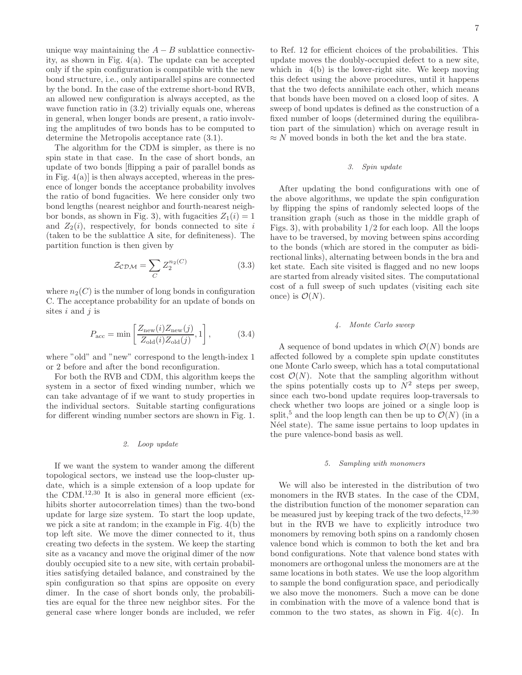unique way maintaining the  $A - B$  sublattice connectivity, as shown in Fig. 4(a). The update can be accepted only if the spin configuration is compatible with the new bond structure, i.e., only antiparallel spins are connected by the bond. In the case of the extreme short-bond RVB, an allowed new configuration is always accepted, as the wave function ratio in  $(3.2)$  trivially equals one, whereas in general, when longer bonds are present, a ratio involving the amplitudes of two bonds has to be computed to determine the Metropolis acceptance rate (3.1).

The algorithm for the CDM is simpler, as there is no spin state in that case. In the case of short bonds, an update of two bonds [flipping a pair of parallel bonds as in Fig.  $4(a)$  is then always accepted, whereas in the presence of longer bonds the acceptance probability involves the ratio of bond fugacities. We here consider only two bond lengths (nearest neighbor and fourth-nearest neighbor bonds, as shown in Fig. 3), with fugacities  $Z_1(i) = 1$ and  $Z_2(i)$ , respectively, for bonds connected to site i (taken to be the sublattice A site, for definiteness). The partition function is then given by

$$
\mathcal{Z}_{\mathcal{CDM}} = \sum_{C} Z_2^{n_2(C)} \tag{3.3}
$$

where  $n_2(C)$  is the number of long bonds in configuration C. The acceptance probability for an update of bonds on sites  $i$  and  $j$  is

$$
P_{\rm acc} = \min\left[\frac{Z_{\rm new}(i)Z_{\rm new}(j)}{Z_{\rm old}(i)Z_{\rm old}(j)}, 1\right],\tag{3.4}
$$

where "old" and "new" correspond to the length-index 1 or 2 before and after the bond reconfiguration.

For both the RVB and CDM, this algorithm keeps the system in a sector of fixed winding number, which we can take advantage of if we want to study properties in the individual sectors. Suitable starting configurations for different winding number sectors are shown in Fig. 1.

# 2. Loop update

If we want the system to wander among the different topological sectors, we instead use the loop-cluster update, which is a simple extension of a loop update for the CDM.12,30 It is also in general more efficient (exhibits shorter autocorrelation times) than the two-bond update for large size system. To start the loop update, we pick a site at random; in the example in Fig. 4(b) the top left site. We move the dimer connected to it, thus creating two defects in the system. We keep the starting site as a vacancy and move the original dimer of the now doubly occupied site to a new site, with certain probabilities satisfying detailed balance, and constrained by the spin configuration so that spins are opposite on every dimer. In the case of short bonds only, the probabilities are equal for the three new neighbor sites. For the general case where longer bonds are included, we refer

to Ref. 12 for efficient choices of the probabilities. This update moves the doubly-occupied defect to a new site, which in 4(b) is the lower-right site. We keep moving this defect using the above procedures, until it happens that the two defects annihilate each other, which means that bonds have been moved on a closed loop of sites. A sweep of bond updates is defined as the construction of a fixed number of loops (determined during the equilibration part of the simulation) which on average result in  $\approx N$  moved bonds in both the ket and the bra state.

# 3. Spin update

After updating the bond configurations with one of the above algorithms, we update the spin configuration by flipping the spins of randomly selected loops of the transition graph (such as those in the middle graph of Figs. 3), with probability 1/2 for each loop. All the loops have to be traversed, by moving between spins according to the bonds (which are stored in the computer as bidirectional links), alternating between bonds in the bra and ket state. Each site visited is flagged and no new loops are started from already visited sites. The computational cost of a full sweep of such updates (visiting each site once) is  $\mathcal{O}(N)$ .

# 4. Monte Carlo sweep

A sequence of bond updates in which  $\mathcal{O}(N)$  bonds are affected followed by a complete spin update constitutes one Monte Carlo sweep, which has a total computational cost  $\mathcal{O}(N)$ . Note that the sampling algorithm without the spins potentially costs up to  $N^2$  steps per sweep, since each two-bond update requires loop-traversals to check whether two loops are joined or a single loop is split,<sup>5</sup> and the loop length can then be up to  $\mathcal{O}(N)$  (in a N'eel state). The same issue pertains to loop updates in the pure valence-bond basis as well.

# 5. Sampling with monomers

We will also be interested in the distribution of two monomers in the RVB states. In the case of the CDM, the distribution function of the monomer separation can be measured just by keeping track of the two defects,<sup>12,30</sup> but in the RVB we have to explicitly introduce two monomers by removing both spins on a randomly chosen valence bond which is common to both the ket and bra bond configurations. Note that valence bond states with monomers are orthogonal unless the monomers are at the same locations in both states. We use the loop algorithm to sample the bond configuration space, and periodically we also move the monomers. Such a move can be done in combination with the move of a valence bond that is common to the two states, as shown in Fig.  $4(c)$ . In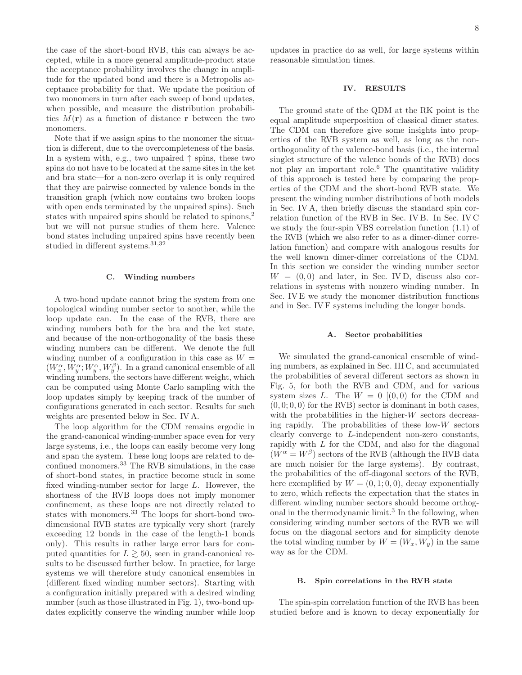the case of the short-bond RVB, this can always be accepted, while in a more general amplitude-product state the acceptance probability involves the change in amplitude for the updated bond and there is a Metropolis acceptance probability for that. We update the position of two monomers in turn after each sweep of bond updates, when possible, and measure the distribution probabilities  $M(\mathbf{r})$  as a function of distance r between the two monomers.

Note that if we assign spins to the monomer the situation is different, due to the overcompleteness of the basis. In a system with, e.g., two unpaired  $\uparrow$  spins, these two spins do not have to be located at the same sites in the ket and bra state—for a non-zero overlap it is only required that they are pairwise connected by valence bonds in the transition graph (which now contains two broken loops with open ends terminated by the unpaired spins). Such states with unpaired spins should be related to spinons,<sup>2</sup> but we will not pursue studies of them here. Valence bond states including unpaired spins have recently been studied in different systems.<sup>31,32</sup>

# C. Winding numbers

A two-bond update cannot bring the system from one topological winding number sector to another, while the loop update can. In the case of the RVB, there are winding numbers both for the bra and the ket state, and because of the non-orthogonality of the basis these winding numbers can be different. We denote the full winding number of a configuration in this case as  $W =$  $(W_x^{\alpha}, W_y^{\alpha}; W_y^{\alpha}, W_y^{\beta})$ . In a grand canonical ensemble of all winding numbers, the sectors have different weight, which can be computed using Monte Carlo sampling with the loop updates simply by keeping track of the number of configurations generated in each sector. Results for such weights are presented below in Sec. IV A.

The loop algorithm for the CDM remains ergodic in the grand-canonical winding-number space even for very large systems, i.e., the loops can easily become very long and span the system. These long loops are related to deconfined monomers.<sup>33</sup> The RVB simulations, in the case of short-bond states, in practice become stuck in some fixed winding-number sector for large L. However, the shortness of the RVB loops does not imply monomer confinement, as these loops are not directly related to states with monomers.<sup>33</sup> The loops for short-bond twodimensional RVB states are typically very short (rarely exceeding 12 bonds in the case of the length-1 bonds only). This results in rather large error bars for computed quantities for  $L \gtrsim 50$ , seen in grand-canonical results to be discussed further below. In practice, for large systems we will therefore study canonical ensembles in (different fixed winding number sectors). Starting with a configuration initially prepared with a desired winding number (such as those illustrated in Fig. 1), two-bond updates explicitly conserve the winding number while loop

updates in practice do as well, for large systems within reasonable simulation times.

# IV. RESULTS

The ground state of the QDM at the RK point is the equal amplitude superposition of classical dimer states. The CDM can therefore give some insights into properties of the RVB system as well, as long as the nonorthogonality of the valence-bond basis (i.e., the internal singlet structure of the valence bonds of the RVB) does not play an important role.<sup>6</sup> The quantitative validity of this approach is tested here by comparing the properties of the CDM and the short-bond RVB state. We present the winding number distributions of both models in Sec. IV A, then briefly discuss the standard spin correlation function of the RVB in Sec. IV B. In Sec. IV C we study the four-spin VBS correlation function (1.1) of the RVB (which we also refer to as a dimer-dimer correlation function) and compare with analogous results for the well known dimer-dimer correlations of the CDM. In this section we consider the winding number sector  $W = (0, 0)$  and later, in Sec. IV D, discuss also correlations in systems with nonzero winding number. In Sec. IV E we study the monomer distribution functions and in Sec. IV F systems including the longer bonds.

#### A. Sector probabilities

We simulated the grand-canonical ensemble of winding numbers, as explained in Sec. III C, and accumulated the probabilities of several different sectors as shown in Fig. 5, for both the RVB and CDM, and for various system sizes  $L$ . The  $W = 0$  [(0,0) for the CDM and  $(0, 0, 0, 0)$  for the RVB) sector is dominant in both cases, with the probabilities in the higher-W sectors decreasing rapidly. The probabilities of these low-W sectors clearly converge to L-independent non-zero constants, rapidly with L for the CDM, and also for the diagonal  $(W^{\alpha} = W^{\beta})$  sectors of the RVB (although the RVB data are much noisier for the large systems). By contrast, the probabilities of the off-diagonal sectors of the RVB, here exemplified by  $W = (0, 1; 0, 0)$ , decay exponentially to zero, which reflects the expectation that the states in different winding number sectors should become orthogonal in the thermodynamic limit.<sup>3</sup> In the following, when considering winding number sectors of the RVB we will focus on the diagonal sectors and for simplicity denote the total winding number by  $W = (W_x, W_y)$  in the same way as for the CDM.

# B. Spin correlations in the RVB state

The spin-spin correlation function of the RVB has been studied before and is known to decay exponentially for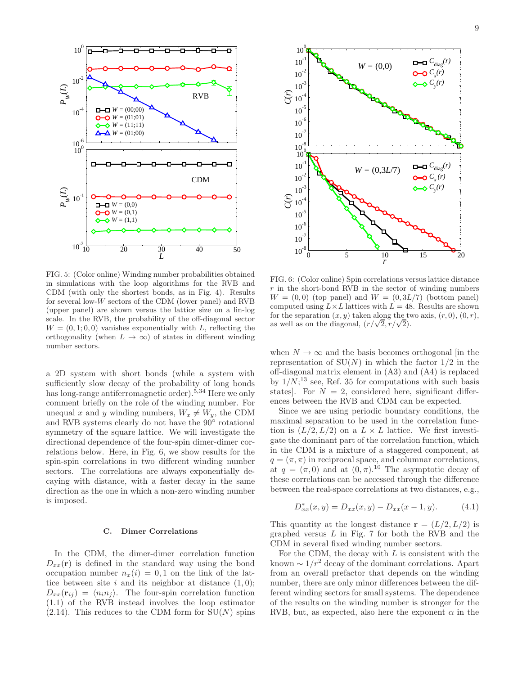

FIG. 5: (Color online) Winding number probabilities obtained in simulations with the loop algorithms for the RVB and CDM (with only the shortest bonds, as in Fig. 4). Results for several low-W sectors of the CDM (lower panel) and RVB (upper panel) are shown versus the lattice size on a lin-log scale. In the RVB, the probability of the off-diagonal sector  $W = (0, 1, 0, 0)$  vanishes exponentially with L, reflecting the orthogonality (when  $L \to \infty$ ) of states in different winding number sectors.

a 2D system with short bonds (while a system with sufficiently slow decay of the probability of long bonds has long-range antiferromagnetic order).<sup>5,34</sup> Here we only comment briefly on the role of the winding number. For unequal x and y winding numbers,  $W_x \neq W_y$ , the CDM and RVB systems clearly do not have the  $90^{\circ}$  rotational symmetry of the square lattice. We will investigate the directional dependence of the four-spin dimer-dimer correlations below. Here, in Fig. 6, we show results for the spin-spin correlations in two different winding number sectors. The correlations are always exponentially decaying with distance, with a faster decay in the same direction as the one in which a non-zero winding number is imposed.

#### C. Dimer Correlations

In the CDM, the dimer-dimer correlation function  $D_{xx}(\mathbf{r})$  is defined in the standard way using the bond occupation number  $n_x(i) = 0, 1$  on the link of the lattice between site i and its neighbor at distance  $(1, 0)$ ;  $D_{xx}(\mathbf{r}_{ii}) = \langle n_i n_i \rangle$ . The four-spin correlation function (1.1) of the RVB instead involves the loop estimator  $(2.14)$ . This reduces to the CDM form for  $SU(N)$  spins



FIG. 6: (Color online) Spin correlations versus lattice distance  $r$  in the short-bond RVB in the sector of winding numbers  $W = (0, 0)$  (top panel) and  $W = (0, 3L/7)$  (bottom panel) computed using  $L \times L$  lattices with  $L = 48$ . Results are shown for the separation  $(x, y)$  taken along the two axis,  $(r, 0)$ ,  $(0, r)$ , as well as on the diagonal,  $(r/\sqrt{2}, r/\sqrt{2})$ .

when  $N \to \infty$  and the basis becomes orthogonal [in the representation of  $SU(N)$  in which the factor  $1/2$  in the off-diagonal matrix element in (A3) and (A4) is replaced by  $1/N;^{13}$  see, Ref. 35 for computations with such basis states]. For  $N = 2$ , considered here, significant differences between the RVB and CDM can be expected.

Since we are using periodic boundary conditions, the maximal separation to be used in the correlation function is  $(L/2, L/2)$  on a  $L \times L$  lattice. We first investigate the dominant part of the correlation function, which in the CDM is a mixture of a staggered component, at  $q = (\pi, \pi)$  in reciprocal space, and columnar correlations, at  $q = (\pi, 0)$  and at  $(0, \pi)$ .<sup>10</sup> The asymptotic decay of these correlations can be accessed through the difference between the real-space correlations at two distances, e.g.,

$$
D_{xx}^*(x, y) = D_{xx}(x, y) - D_{xx}(x - 1, y).
$$
 (4.1)

This quantity at the longest distance  $\mathbf{r} = (L/2, L/2)$  is graphed versus  $L$  in Fig. 7 for both the RVB and the CDM in several fixed winding number sectors.

For the CDM, the decay with  $L$  is consistent with the known  $\sim 1/r^2$  decay of the dominant correlations. Apart from an overall prefactor that depends on the winding number, there are only minor differences between the different winding sectors for small systems. The dependence of the results on the winding number is stronger for the RVB, but, as expected, also here the exponent  $\alpha$  in the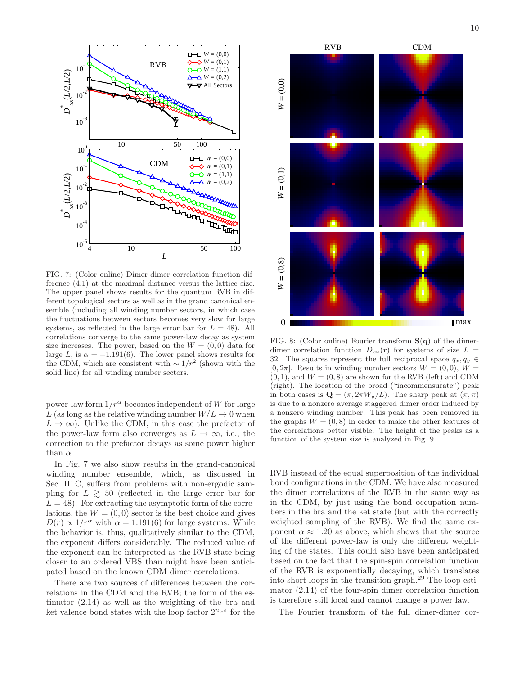

FIG. 7: (Color online) Dimer-dimer correlation function difference (4.1) at the maximal distance versus the lattice size. The upper panel shows results for the quantum RVB in different topological sectors as well as in the grand canonical ensemble (including all winding number sectors, in which case the fluctuations between sectors becomes very slow for large systems, as reflected in the large error bar for  $L = 48$ ). All correlations converge to the same power-law decay as system size increases. The power, based on the  $W = (0, 0)$  data for large L, is  $\alpha = -1.191(6)$ . The lower panel shows results for the CDM, which are consistent with  $\sim 1/r^2$  (shown with the solid line) for all winding number sectors.

power-law form  $1/r^{\alpha}$  becomes independent of W for large L (as long as the relative winding number  $W/L \rightarrow 0$  when  $L \to \infty$ ). Unlike the CDM, in this case the prefactor of the power-law form also converges as  $L \to \infty$ , i.e., the correction to the prefactor decays as some power higher than  $\alpha$ .

In Fig. 7 we also show results in the grand-canonical winding number ensemble, which, as discussed in Sec. III C, suffers from problems with non-ergodic sampling for  $L \geq 50$  (reflected in the large error bar for  $L = 48$ ). For extracting the asymptotic form of the correlations, the  $W = (0, 0)$  sector is the best choice and gives  $D(r) \propto 1/r^{\alpha}$  with  $\alpha = 1.191(6)$  for large systems. While the behavior is, thus, qualitatively similar to the CDM, the exponent differs considerably. The reduced value of the exponent can be interpreted as the RVB state being closer to an ordered VBS than might have been anticipated based on the known CDM dimer correlations.

There are two sources of differences between the correlations in the CDM and the RVB; the form of the estimator (2.14) as well as the weighting of the bra and ket valence bond states with the loop factor  $2^{n_{\alpha\beta}}$  for the



FIG. 8: (Color online) Fourier transform  $S(q)$  of the dimerdimer correlation function  $D_{xx}(\mathbf{r})$  for systems of size  $L =$ 32. The squares represent the full reciprocal space  $q_x, q_y \in$  $[0, 2\pi]$ . Results in winding number sectors  $W = (0, 0)$ ,  $W =$  $(0, 1)$ , and  $W = (0, 8)$  are shown for the RVB (left) and CDM (right). The location of the broad ("incommensurate") peak in both cases is  $\mathbf{Q} = (\pi, 2\pi W_y/L)$ . The sharp peak at  $(\pi, \pi)$ is due to a nonzero average staggered dimer order induced by a nonzero winding number. This peak has been removed in the graphs  $W = (0, 8)$  in order to make the other features of the correlations better visible. The height of the peaks as a function of the system size is analyzed in Fig. 9.

RVB instead of the equal superposition of the individual bond configurations in the CDM. We have also measured the dimer correlations of the RVB in the same way as in the CDM, by just using the bond occupation numbers in the bra and the ket state (but with the correctly weighted sampling of the RVB). We find the same exponent  $\alpha \approx 1.20$  as above, which shows that the source of the different power-law is only the different weighting of the states. This could also have been anticipated based on the fact that the spin-spin correlation function of the RVB is exponentially decaying, which translates into short loops in the transition graph.<sup>29</sup> The loop estimator (2.14) of the four-spin dimer correlation function is therefore still local and cannot change a power law.

The Fourier transform of the full dimer-dimer cor-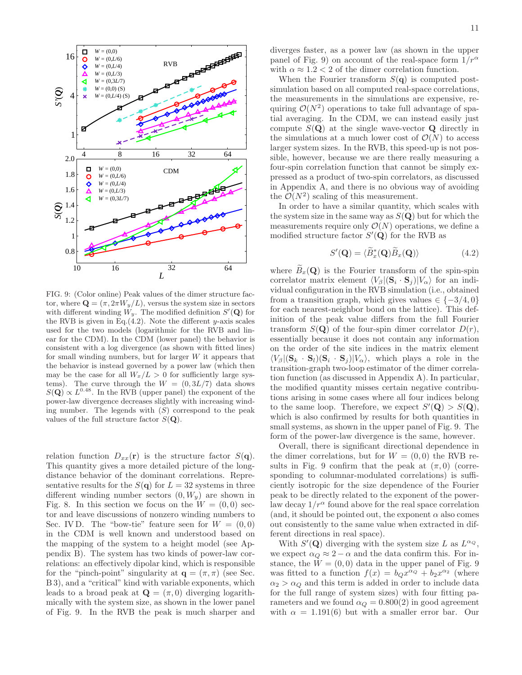

FIG. 9: (Color online) Peak values of the dimer structure factor, where  $\mathbf{Q} = (\pi, 2\pi W_y/L)$ , versus the system size in sectors with different winding  $W_y$ . The modified definition  $S'(\mathbf{Q})$  for the RVB is given in Eq.  $(4.2)$ . Note the different y-axis scales used for the two models (logarithmic for the RVB and linear for the CDM). In the CDM (lower panel) the behavior is consistent with a log divergence (as shown with fitted lines) for small winding numbers, but for larger  $W$  it appears that the behavior is instead governed by a power law (which then may be the case for all  $W_x/L > 0$  for sufficiently large systems). The curve through the  $W = (0, 3L/7)$  data shows  $S(\mathbf{Q}) \propto L^{0.48}$ . In the RVB (upper panel) the exponent of the power-law divergence decreases slightly with increasing winding number. The legends with  $(S)$  correspond to the peak values of the full structure factor  $S(\mathbf{Q})$ .

relation function  $D_{xx}(\mathbf{r})$  is the structure factor  $S(\mathbf{q})$ . This quantity gives a more detailed picture of the longdistance behavior of the dominant correlations. Representative results for the  $S(\mathbf{q})$  for  $L = 32$  systems in three different winding number sectors  $(0, W_y)$  are shown in Fig. 8. In this section we focus on the  $W = (0,0)$  sector and leave discussions of nonzero winding numbers to Sec. IV D. The "bow-tie" feature seen for  $W = (0, 0)$ in the CDM is well known and understood based on the mapping of the system to a height model (see Appendix B). The system has two kinds of power-law correlations: an effectively dipolar kind, which is responsible for the "pinch-point" singularity at  $q = (\pi, \pi)$  (see Sec. B 3), and a "critical" kind with variable exponents, which leads to a broad peak at  $\mathbf{Q} = (\pi, 0)$  diverging logarithmically with the system size, as shown in the lower panel of Fig. 9. In the RVB the peak is much sharper and

diverges faster, as a power law (as shown in the upper panel of Fig. 9) on account of the real-space form  $1/r^{\alpha}$ with  $\alpha \approx 1.2 < 2$  of the dimer correlation function.

When the Fourier transform  $S(\mathbf{q})$  is computed postsimulation based on all computed real-space correlations, the measurements in the simulations are expensive, requiring  $\mathcal{O}(N^2)$  operations to take full advantage of spatial averaging. In the CDM, we can instead easily just compute  $S(Q)$  at the single wave-vector Q directly in the simulations at a much lower cost of  $\mathcal{O}(N)$  to access larger system sizes. In the RVB, this speed-up is not possible, however, because we are there really measuring a four-spin correlation function that cannot be simply expressed as a product of two-spin correlators, as discussed in Appendix A, and there is no obvious way of avoiding the  $\mathcal{O}(N^2)$  scaling of this measurement.

In order to have a similar quantity, which scales with the system size in the same way as  $S(Q)$  but for which the measurements require only  $\mathcal{O}(N)$  operations, we define a modified structure factor  $S'(\mathbf{Q})$  for the RVB as

$$
S'(\mathbf{Q}) = \langle \widetilde{B}_x^*(\mathbf{Q}) \widetilde{B}_x(\mathbf{Q}) \rangle \tag{4.2}
$$

where  $B_r(Q)$  is the Fourier transform of the spin-spin correlator matrix element  $\langle V_\beta | (\mathbf{S}_i \cdot \mathbf{S}_j) | V_\alpha \rangle$  for an individual configuration in the RVB simulation (i.e., obtained from a transition graph, which gives values  $\in \{-3/4, 0\}$ for each nearest-neighbor bond on the lattice). This definition of the peak value differs from the full Fourier transform  $S(\mathbf{Q})$  of the four-spin dimer correlator  $D(r)$ , essentially because it does not contain any information on the order of the site indices in the matrix element  $\langle V_\beta | (\mathbf{S}_k \cdot \mathbf{S}_l)(\mathbf{S}_i \cdot \mathbf{S}_j) | V_\alpha \rangle$ , which plays a role in the transition-graph two-loop estimator of the dimer correlation function (as discussed in Appendix A). In particular, the modified quantity misses certain negative contributions arising in some cases where all four indices belong to the same loop. Therefore, we expect  $S'(\mathbf{Q}) > S(\mathbf{Q}),$ which is also confirmed by results for both quantities in small systems, as shown in the upper panel of Fig. 9. The form of the power-law divergence is the same, however.

Overall, there is significant directional dependence in the dimer correlations, but for  $W = (0,0)$  the RVB results in Fig. 9 confirm that the peak at  $(\pi, 0)$  (corresponding to columnar-modulated correlations) is sufficiently isotropic for the size dependence of the Fourier peak to be directly related to the exponent of the powerlaw decay  $1/r^{\alpha}$  found above for the real space correlation (and, it should be pointed out, the exponent  $\alpha$  also comes out consistently to the same value when extracted in different directions in real space).

With  $S'(\mathbf{Q})$  diverging with the system size L as  $L^{\alpha_Q}$ , we expect  $\alpha_Q \approx 2 - \alpha$  and the data confirm this. For instance, the  $W = (0, 0)$  data in the upper panel of Fig. 9 was fitted to a function  $f(x) = b_Q x^{\alpha_Q} + b_2 x^{\alpha_2}$  (where  $\alpha_2 > \alpha_0$  and this term is added in order to include data for the full range of system sizes) with four fitting parameters and we found  $\alpha_Q = 0.800(2)$  in good agreement with  $\alpha = 1.191(6)$  but with a smaller error bar. Our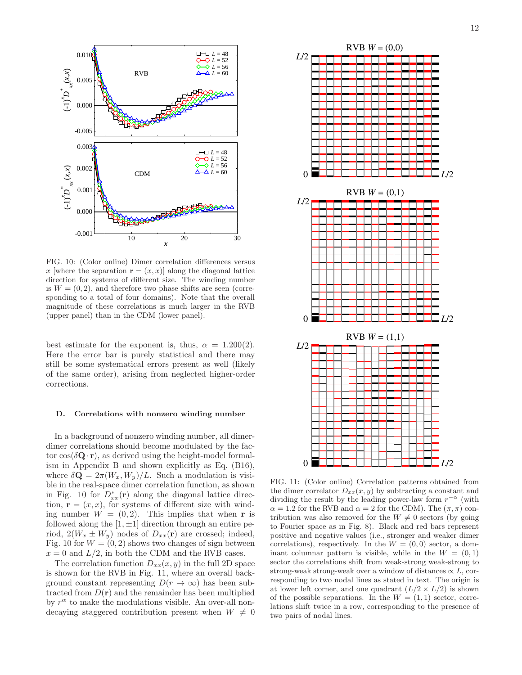

FIG. 10: (Color online) Dimer correlation differences versus x [where the separation  $\mathbf{r} = (x, x)$ ] along the diagonal lattice direction for systems of different size. The winding number is  $W = (0, 2)$ , and therefore two phase shifts are seen (corresponding to a total of four domains). Note that the overall magnitude of these correlations is much larger in the RVB (upper panel) than in the CDM (lower panel).

best estimate for the exponent is, thus,  $\alpha = 1.200(2)$ . Here the error bar is purely statistical and there may still be some systematical errors present as well (likely of the same order), arising from neglected higher-order corrections.

#### D. Correlations with nonzero winding number

In a background of nonzero winding number, all dimerdimer correlations should become modulated by the factor  $\cos(\delta \mathbf{Q} \cdot \mathbf{r})$ , as derived using the height-model formalism in Appendix B and shown explicitly as Eq. (B16), where  $\delta \mathbf{Q} = 2\pi (W_x, W_y)/L$ . Such a modulation is visible in the real-space dimer correlation function, as shown in Fig. 10 for  $D_{xx}^*(\mathbf{r})$  along the diagonal lattice direction,  $\mathbf{r} = (x, x)$ , for systems of different size with winding number  $W = (0, 2)$ . This implies that when r is followed along the  $[1, \pm 1]$  direction through an entire period,  $2(W_x \pm W_y)$  nodes of  $D_{xx}(\mathbf{r})$  are crossed; indeed, Fig. 10 for  $W = (0, 2)$  shows two changes of sign between  $x = 0$  and  $L/2$ , in both the CDM and the RVB cases.

The correlation function  $D_{xx}(x, y)$  in the full 2D space is shown for the RVB in Fig. 11, where an overall background constant representing  $D(r \to \infty)$  has been subtracted from  $D(\mathbf{r})$  and the remainder has been multiplied by  $r^{\alpha}$  to make the modulations visible. An over-all nondecaying staggered contribution present when  $W \neq 0$ 



FIG. 11: (Color online) Correlation patterns obtained from the dimer correlator  $D_{xx}(x, y)$  by subtracting a constant and dividing the result by the leading power-law form  $r^{-\alpha}$  (with  $\alpha = 1.2$  for the RVB and  $\alpha = 2$  for the CDM). The  $(\pi, \pi)$  contribution was also removed for the  $W \neq 0$  sectors (by going to Fourier space as in Fig. 8). Black and red bars represent positive and negative values (i.e., stronger and weaker dimer correlations), respectively. In the  $W = (0, 0)$  sector, a dominant columnar pattern is visible, while in the  $W = (0, 1)$ sector the correlations shift from weak-strong weak-strong to strong-weak strong-weak over a window of distances  $\propto L$ , corresponding to two nodal lines as stated in text. The origin is at lower left corner, and one quadrant  $(L/2 \times L/2)$  is shown of the possible separations. In the  $W = (1, 1)$  sector, correlations shift twice in a row, corresponding to the presence of two pairs of nodal lines.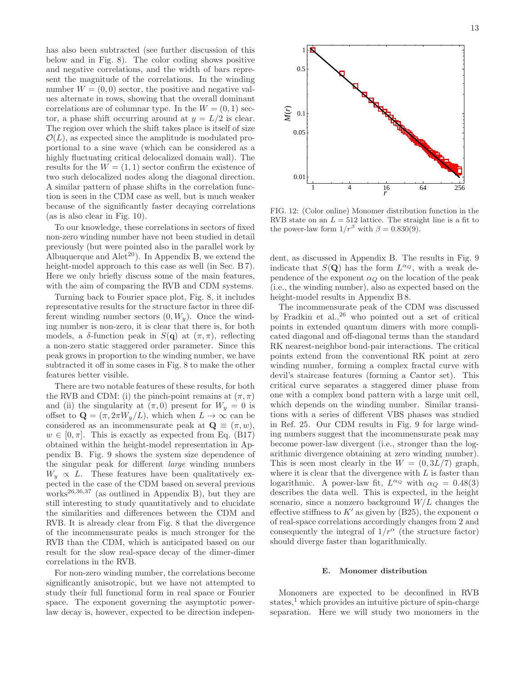has also been subtracted (see further discussion of this below and in Fig. 8). The color coding shows positive and negative correlations, and the width of bars represent the magnitude of the correlations. In the winding number  $W = (0, 0)$  sector, the positive and negative values alternate in rows, showing that the overall dominant correlations are of columnar type. In the  $W = (0, 1)$  sector, a phase shift occurring around at  $y = L/2$  is clear. The region over which the shift takes place is itself of size  $\mathcal{O}(L)$ , as expected since the amplitude is modulated proportional to a sine wave (which can be considered as a highly fluctuating critical delocalized domain wall). The results for the  $W = (1, 1)$  sector confirm the existence of two such delocalized nodes along the diagonal direction. A similar pattern of phase shifts in the correlation function is seen in the CDM case as well, but is much weaker because of the significantly faster decaying correlations (as is also clear in Fig. 10).

To our knowledge, these correlations in sectors of fixed non-zero winding number have not been studied in detail previously (but were pointed also in the parallel work by Albuquerque and  $Alet^{20}$ ). In Appendix B, we extend the height-model approach to this case as well (in Sec. B 7). Here we only briefly discuss some of the main features, with the aim of comparing the RVB and CDM systems.

Turning back to Fourier space plot, Fig. 8, it includes representative results for the structure factor in three different winding number sectors  $(0, W_u)$ . Once the winding number is non-zero, it is clear that there is, for both models, a  $\delta$ -function peak in  $S(\mathbf{q})$  at  $(\pi, \pi)$ , reflecting a non-zero static staggered order parameter. Since this peak grows in proportion to the winding number, we have subtracted it off in some cases in Fig. 8 to make the other features better visible.

There are two notable features of these results, for both the RVB and CDM: (i) the pinch-point remains at  $(\pi, \pi)$ and (ii) the singularity at  $(\pi, 0)$  present for  $W_y = 0$  is offset to  $\mathbf{Q} = (\pi, 2\pi W_y/L)$ , which when  $L \to \infty$  can be considered as an incommensurate peak at  $\mathbf{Q} \equiv (\pi, w)$ ,  $w \in [0, \pi]$ . This is exactly as expected from Eq. (B17) obtained within the height-model representation in Appendix B. Fig. 9 shows the system size dependence of the singular peak for different large winding numbers  $W_y \propto L$ . These features have been qualitatively expected in the case of the CDM based on several previous works<sup>26,36,37</sup> (as outlined in Appendix B), but they are still interesting to study quantitatively and to elucidate the similarities and differences between the CDM and RVB. It is already clear from Fig. 8 that the divergence of the incommensurate peaks is much stronger for the RVB than the CDM, which is anticipated based on our result for the slow real-space decay of the dimer-dimer correlations in the RVB.

For non-zero winding number, the correlations become significantly anisotropic, but we have not attempted to study their full functional form in real space or Fourier space. The exponent governing the asymptotic powerlaw decay is, however, expected to be direction indepen-



FIG. 12: (Color online) Monomer distribution function in the RVB state on an  $L = 512$  lattice. The straight line is a fit to the power-law form  $1/r^{\beta}$  with  $\beta = 0.830(9)$ .

dent, as discussed in Appendix B. The results in Fig. 9 indicate that  $S(\mathbf{Q})$  has the form  $L^{\alpha_Q}$ , with a weak dependence of the exponent  $\alpha_Q$  on the location of the peak (i.e., the winding number), also as expected based on the height-model results in Appendix B 8.

The incommensurate peak of the CDM was discussed by Fradkin et al.,  $26$  who pointed out a set of critical points in extended quantum dimers with more complicated diagonal and off-diagonal terms than the standard RK nearest-neighbor bond-pair interactions. The critical points extend from the conventional RK point at zero winding number, forming a complex fractal curve with devil's staircase features (forming a Cantor set). This critical curve separates a staggered dimer phase from one with a complex bond pattern with a large unit cell, which depends on the winding number. Similar transitions with a series of different VBS phases was studied in Ref. 25. Our CDM results in Fig. 9 for large winding numbers suggest that the incommensurate peak may become power-law divergent (i.e., stronger than the logarithmic divergence obtaining at zero winding number). This is seen most clearly in the  $W = (0, 3L/7)$  graph, where it is clear that the divergence with  $L$  is faster than logarithmic. A power-law fit,  $L^{\alpha_Q}$  with  $\alpha_Q = 0.48(3)$ describes the data well. This is expected, in the height scenario, since a nonzero background  $W/L$  changes the effective stiffness to K' as given by (B25), the exponent  $\alpha$ of real-space correlations accordingly changes from 2 and consequently the integral of  $1/r^{\alpha}$  (the structure factor) should diverge faster than logarithmically.

#### E. Monomer distribution

Monomers are expected to be deconfined in RVB states, $\frac{1}{2}$  which provides an intuitive picture of spin-charge separation. Here we will study two monomers in the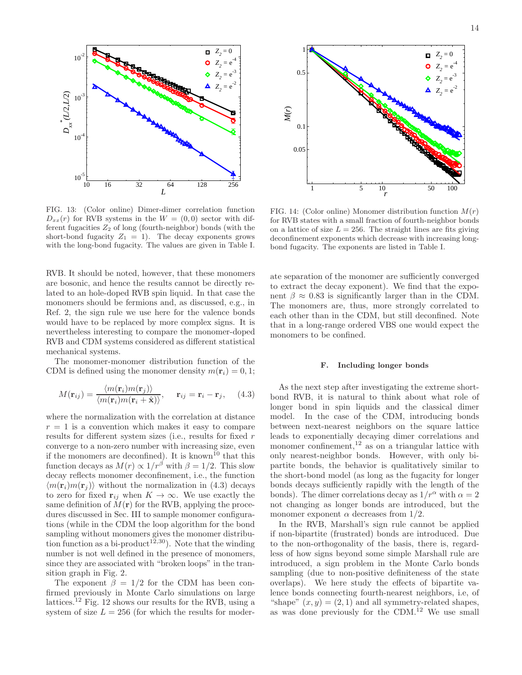

 $D_{xx}(r)$  for RVB systems in the  $W = (0, 0)$  sector with different fugacities  $Z_2$  of long (fourth-neighbor) bonds (with the short-bond fugacity  $Z_1 = 1$ ). The decay exponents grows with the long-bond fugacity. The values are given in Table I.

RVB. It should be noted, however, that these monomers are bosonic, and hence the results cannot be directly related to an hole-doped RVB spin liquid. In that case the monomers should be fermions and, as discussed, e.g., in Ref. 2, the sign rule we use here for the valence bonds would have to be replaced by more complex signs. It is nevertheless interesting to compare the monomer-doped RVB and CDM systems considered as different statistical mechanical systems.

The monomer-monomer distribution function of the CDM is defined using the monomer density  $m(\mathbf{r}_i) = 0, 1$ ;

$$
M(\mathbf{r}_{ij}) = \frac{\langle m(\mathbf{r}_i)m(\mathbf{r}_j)\rangle}{\langle m(\mathbf{r}_i)m(\mathbf{r}_i+\hat{\mathbf{x}})\rangle}, \quad \mathbf{r}_{ij} = \mathbf{r}_i - \mathbf{r}_j, \quad (4.3)
$$

where the normalization with the correlation at distance  $r = 1$  is a convention which makes it easy to compare results for different system sizes (i.e., results for fixed r converge to a non-zero number with increasing size, even if the monomers are deconfined). It is known<sup>10</sup> that this function decays as  $M(r) \propto 1/r^{\beta}$  with  $\beta = 1/2$ . This slow decay reflects monomer deconfinement, i.e., the function  $\langle m(\mathbf{r}_i)m(\mathbf{r}_j)\rangle$  without the normalization in (4.3) decays to zero for fixed  $\mathbf{r}_{ij}$  when  $K \to \infty$ . We use exactly the same definition of  $M(\mathbf{r})$  for the RVB, applying the procedures discussed in Sec. III to sample monomer configurations (while in the CDM the loop algorithm for the bond sampling without monomers gives the monomer distribution function as a bi-product<sup>12,30</sup>). Note that the winding number is not well defined in the presence of monomers, since they are associated with "broken loops" in the transition graph in Fig. 2.

The exponent  $\beta = 1/2$  for the CDM has been confirmed previously in Monte Carlo simulations on large lattices.<sup>12</sup> Fig. 12 shows our results for the RVB, using a system of size  $L = 256$  (for which the results for moder-



FIG. 14: (Color online) Monomer distribution function  $M(r)$ for RVB states with a small fraction of fourth-neighbor bonds on a lattice of size  $L = 256$ . The straight lines are fits giving deconfinement exponents which decrease with increasing longbond fugacity. The exponents are listed in Table I.

ate separation of the monomer are sufficiently converged to extract the decay exponent). We find that the exponent  $\beta \approx 0.83$  is significantly larger than in the CDM. The monomers are, thus, more strongly correlated to each other than in the CDM, but still deconfined. Note that in a long-range ordered VBS one would expect the monomers to be confined.

#### F. Including longer bonds

As the next step after investigating the extreme shortbond RVB, it is natural to think about what role of longer bond in spin liquids and the classical dimer model. In the case of the CDM, introducing bonds between next-nearest neighbors on the square lattice leads to exponentially decaying dimer correlations and monomer confinement, $12$  as on a triangular lattice with only nearest-neighbor bonds. However, with only bipartite bonds, the behavior is qualitatively similar to the short-bond model (as long as the fugacity for longer bonds decays sufficiently rapidly with the length of the bonds). The dimer correlations decay as  $1/r^{\alpha}$  with  $\alpha = 2$ not changing as longer bonds are introduced, but the monomer exponent  $\alpha$  decreases from 1/2.

In the RVB, Marshall's sign rule cannot be applied if non-bipartite (frustrated) bonds are introduced. Due to the non-orthogonality of the basis, there is, regardless of how signs beyond some simple Marshall rule are introduced, a sign problem in the Monte Carlo bonds sampling (due to non-positive definiteness of the state overlaps). We here study the effects of bipartite valence bonds connecting fourth-nearest neighbors, i.e, of "shape"  $(x, y) = (2, 1)$  and all symmetry-related shapes, as was done previously for the CDM.<sup>12</sup> We use small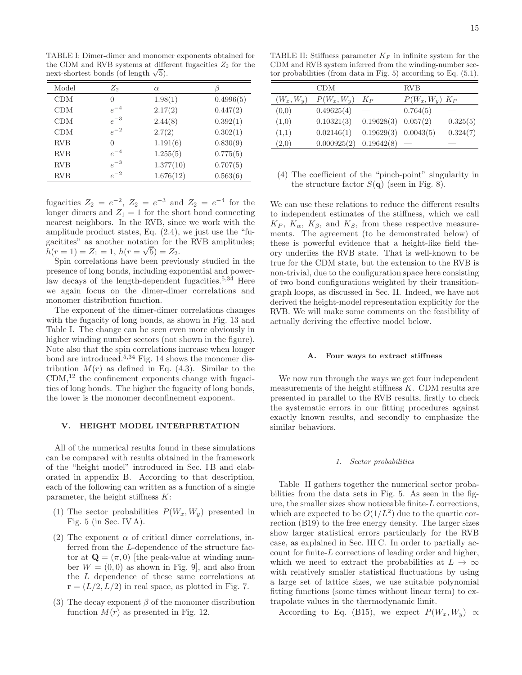TABLE I: Dimer-dimer and monomer exponents obtained for the CDM and RVB systems at different fugacities  $Z_2$  for the next-shortest bonds (of length  $\sqrt{5}$ ).

| Model      | $\mathbb{Z}_2$ | $\alpha$  |           |
|------------|----------------|-----------|-----------|
| CDM        | $\theta$       | 1.98(1)   | 0.4996(5) |
| CDM        | $e^{-4}$       | 2.17(2)   | 0.447(2)  |
| CDM        | $e^{-3}$       | 2.44(8)   | 0.392(1)  |
| CDM        | $e^{-2}$       | 2.7(2)    | 0.302(1)  |
| <b>RVB</b> | $\Omega$       | 1.191(6)  | 0.830(9)  |
| <b>RVB</b> | $e^{-4}$       | 1.255(5)  | 0.775(5)  |
| <b>RVB</b> | $e^{-3}$       | 1.377(10) | 0.707(5)  |
| <b>RVB</b> | $e^{-2}$       | 1.676(12) | 0.563(6)  |

fugacities  $Z_2 = e^{-2}$ ,  $Z_2 = e^{-3}$  and  $Z_2 = e^{-4}$  for the longer dimers and  $Z_1 = 1$  for the short bond connecting nearest neighbors. In the RVB, since we work with the amplitude product states, Eq. (2.4), we just use the "fugacitites" as another notation for the RVB amplitudes;  $h(r=1) = Z_1 = 1, h(r=\sqrt{5}) = Z_2.$ 

Spin correlations have been previously studied in the presence of long bonds, including exponential and powerlaw decays of the length-dependent fugacities.<sup>5,34</sup> Here we again focus on the dimer-dimer correlations and monomer distribution function.

The exponent of the dimer-dimer correlations changes with the fugacity of long bonds, as shown in Fig. 13 and Table I. The change can be seen even more obviously in higher winding number sectors (not shown in the figure). Note also that the spin correlations increase when longer bond are introduced.<sup>5,34</sup> Fig. 14 shows the monomer distribution  $M(r)$  as defined in Eq. (4.3). Similar to the  $CDM<sub>1</sub><sup>12</sup>$  the confinement exponents change with fugacities of long bonds. The higher the fugacity of long bonds, the lower is the monomer deconfinement exponent.

### V. HEIGHT MODEL INTERPRETATION

All of the numerical results found in these simulations can be compared with results obtained in the framework of the "height model" introduced in Sec. IB and elaborated in appendix B. According to that description, each of the following can written as a function of a single parameter, the height stiffness  $K$ :

- (1) The sector probabilities  $P(W_x, W_y)$  presented in Fig. 5 (in Sec. IV A).
- (2) The exponent  $\alpha$  of critical dimer correlations, inferred from the L-dependence of the structure factor at  $\mathbf{Q} = (\pi, 0)$  [the peak-value at winding number  $W = (0, 0)$  as shown in Fig. 9, and also from the L dependence of these same correlations at  $\mathbf{r} = (L/2, L/2)$  in real space, as plotted in Fig. 7.
- (3) The decay exponent  $\beta$  of the monomer distribution function  $M(r)$  as presented in Fig. 12.

TABLE II: Stiffness parameter  $K_P$  in infinite system for the CDM and RVB system inferred from the winding-number sector probabilities (from data in Fig. 5) according to Eq. (5.1).

|              | CDM           |                          | <b>RVB</b>          |          |
|--------------|---------------|--------------------------|---------------------|----------|
| $(W_x, W_y)$ | $P(W_x, W_y)$ | $K_P$                    | $P(W_x, W_y)$ $K_P$ |          |
| (0,0)        | 0.49625(4)    |                          | 0.764(5)            |          |
| (1,0)        | 0.10321(3)    | 0.19628(3)               | 0.057(2)            | 0.325(5) |
| (1,1)        | 0.02146(1)    | $0.19629(3)$ $0.0043(5)$ |                     | 0.324(7) |
| (2,0)        | 0.000925(2)   | $0.19642(8)$ —           |                     |          |

(4) The coefficient of the "pinch-point" singularity in the structure factor  $S(\mathbf{q})$  (seen in Fig. 8).

We can use these relations to reduce the different results to independent estimates of the stiffness, which we call  $K_P$ ,  $K_\alpha$ ,  $K_\beta$ , and  $K_S$ , from these respective measurements. The agreement (to be demonstrated below) of these is powerful evidence that a height-like field theory underlies the RVB state. That is well-known to be true for the CDM state, but the extension to the RVB is non-trivial, due to the configuration space here consisting of two bond configurations weighted by their transitiongraph loops, as discussed in Sec. II. Indeed, we have not derived the height-model representation explicitly for the RVB. We will make some comments on the feasibility of actually deriving the effective model below.

# A. Four ways to extract stiffness

We now run through the ways we get four independent measurements of the height stiffness  $K$ . CDM results are presented in parallel to the RVB results, firstly to check the systematic errors in our fitting procedures against exactly known results, and secondly to emphasize the similar behaviors.

#### 1. Sector probabilities

Table II gathers together the numerical sector probabilities from the data sets in Fig. 5. As seen in the figure, the smaller sizes show noticeable finite-L corrections, which are expected to be  $O(1/L^2)$  due to the quartic correction (B19) to the free energy density. The larger sizes show larger statistical errors particularly for the RVB case, as explained in Sec. III C. In order to partially account for finite-L corrections of leading order and higher, which we need to extract the probabilities at  $L \to \infty$ with relatively smaller statistical fluctuations by using a large set of lattice sizes, we use suitable polynomial fitting functions (some times without linear term) to extrapolate values in the thermodynamic limit.

According to Eq. (B15), we expect  $P(W_x, W_y) \propto$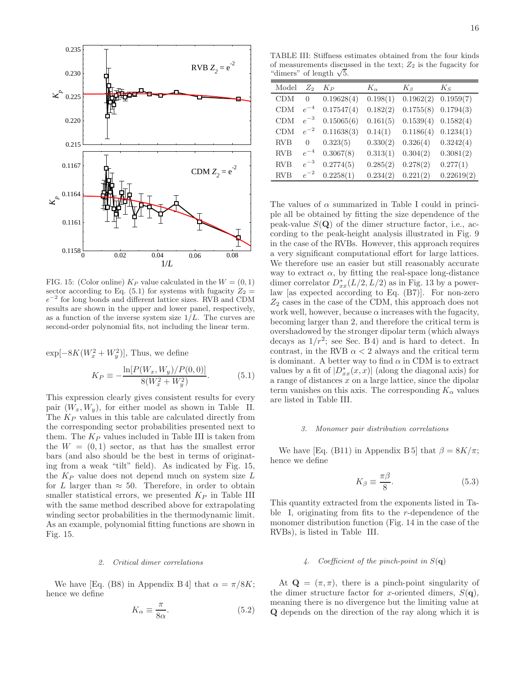

FIG. 15: (Color online)  $K_P$  value calculated in the  $W = (0, 1)$ sector according to Eq. (5.1) for systems with fugacity  $Z_2 =$ e −2 for long bonds and different lattice sizes. RVB and CDM results are shown in the upper and lower panel, respectively, as a function of the inverse system size  $1/L$ . The curves are second-order polynomial fits, not including the linear term.

 $\exp[-8K(W_x^2+W_y^2)],$  Thus, we define

$$
K_P \equiv -\frac{\ln[P(W_x, W_y)/P(0, 0)]}{8(W_x^2 + W_y^2)}.
$$
\n(5.1)

This expression clearly gives consistent results for every pair  $(W_x, W_y)$ , for either model as shown in Table II. The  $K_P$  values in this table are calculated directly from the corresponding sector probabilities presented next to them. The  $K_P$  values included in Table III is taken from the  $W = (0, 1)$  sector, as that has the smallest error bars (and also should be the best in terms of originating from a weak "tilt" field). As indicated by Fig. 15, the  $K_P$  value does not depend much on system size  $L$ for L larger than  $\approx$  50. Therefore, in order to obtain smaller statistical errors, we presented  $K_P$  in Table III with the same method described above for extrapolating winding sector probabilities in the thermodynamic limit. As an example, polynomial fitting functions are shown in Fig. 15.

# 2. Critical dimer correlations

We have [Eq. (B8) in Appendix B 4] that  $\alpha = \pi/8K$ ; hence we define

$$
K_{\alpha} \equiv \frac{\pi}{8\alpha}.\tag{5.2}
$$

TABLE III: Stiffness estimates obtained from the four kinds of measurements discussed in the text;  $Z_2$  is the fugacity for "dimers" of length  $\sqrt{5}$ .

| Model      | $\mathbb{Z}_2$ | Kр         | $K_{\alpha}$ | $K_{\beta}$ | $K_S$      |
|------------|----------------|------------|--------------|-------------|------------|
| CDM        | 0              | 0.19628(4) | 0.198(1)     | 0.1962(2)   | 0.1959(7)  |
| CDM        | $e^{-4}$       | 0.17547(4) | 0.182(2)     | 0.1755(8)   | 0.1794(3)  |
| CDM        | $e^{-3}$       | 0.15065(6) | 0.161(5)     | 0.1539(4)   | 0.1582(4)  |
| CDM        | $e^{-2}$       | 0.11638(3) | 0.14(1)      | 0.1186(4)   | 0.1234(1)  |
| <b>RVB</b> | $\Omega$       | 0.323(5)   | 0.330(2)     | 0.326(4)    | 0.3242(4)  |
| <b>RVB</b> | $e^{-4}$       | 0.3067(8)  | 0.313(1)     | 0.304(2)    | 0.3081(2)  |
| <b>RVB</b> | $e^{-3}$       | 0.2774(5)  | 0.285(2)     | 0.278(2)    | 0.277(1)   |
| <b>RVB</b> | $e^{-2}$       | 0.2258(1)  | 0.234(2)     | 0.221(2)    | 0.22619(2) |

The values of  $\alpha$  summarized in Table I could in principle all be obtained by fitting the size dependence of the peak-value  $S(Q)$  of the dimer structure factor, i.e., according to the peak-height analysis illustrated in Fig. 9 in the case of the RVBs. However, this approach requires a very significant computational effort for large lattices. We therefore use an easier but still reasonably accurate way to extract  $\alpha$ , by fitting the real-space long-distance dimer correlator  $D_{xx}^*(L/2, L/2)$  as in Fig. 13 by a powerlaw [as expected according to Eq. (B7)]. For non-zero  $Z_2$  cases in the case of the CDM, this approach does not work well, however, because  $\alpha$  increases with the fugacity, becoming larger than 2, and therefore the critical term is overshadowed by the stronger dipolar term (which always decays as  $1/r^2$ ; see Sec. B 4) and is hard to detect. In contrast, in the RVB  $\alpha < 2$  always and the critical term is dominant. A better way to find  $\alpha$  in CDM is to extract values by a fit of  $|D_{xx}^*(x,x)|$  (along the diagonal axis) for a range of distances x on a large lattice, since the dipolar term vanishes on this axis. The corresponding  $K_{\alpha}$  values are listed in Table III.

#### 3. Monomer pair distribution correlations

We have [Eq. (B11) in Appendix B 5] that  $\beta = 8K/\pi$ ; hence we define

$$
K_{\beta} \equiv \frac{\pi \beta}{8}.
$$
\n(5.3)

This quantity extracted from the exponents listed in Table I, originating from fits to the r-dependence of the monomer distribution function (Fig. 14 in the case of the RVBs), is listed in Table III.

# 4. Coefficient of the pinch-point in  $S(\mathbf{q})$

At  $\mathbf{Q} = (\pi, \pi)$ , there is a pinch-point singularity of the dimer structure factor for x-oriented dimers,  $S(\mathbf{q})$ , meaning there is no divergence but the limiting value at Q depends on the direction of the ray along which it is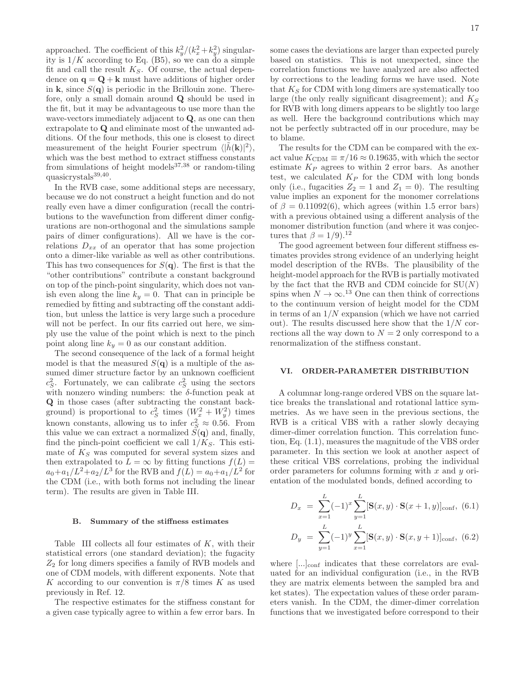approached. The coefficient of this  $k_y^2/(k_x^2 + k_y^2)$  singularity is  $1/K$  according to Eq. (B5), so we can do a simple fit and call the result  $K_S$ . Of course, the actual dependence on  $\mathbf{q} = \mathbf{Q} + \mathbf{k}$  must have additions of higher order in k, since  $S(\mathbf{q})$  is periodic in the Brillouin zone. Therefore, only a small domain around Q should be used in the fit, but it may be advantageous to use more than the wave-vectors immediately adjacent to Q, as one can then extrapolate to Q and eliminate most of the unwanted additions. Of the four methods, this one is closest to direct measurement of the height Fourier spectrum  $\langle |\tilde{h}(\mathbf{k})|^2 \rangle$ , which was the best method to extract stiffness constants from simulations of height models $37,38$  or random-tiling quasicrystals<sup>39,40</sup>.

In the RVB case, some additional steps are necessary, because we do not construct a height function and do not really even have a dimer configuration (recall the contributions to the wavefunction from different dimer configurations are non-orthogonal and the simulations sample pairs of dimer configurations). All we have is the correlations  $D_{xx}$  of an operator that has some projection onto a dimer-like variable as well as other contributions. This has two consequences for  $S(\mathbf{q})$ . The first is that the "other contributions" contribute a constant background on top of the pinch-point singularity, which does not vanish even along the line  $k_y = 0$ . That can in principle be remedied by fitting and subtracting off the constant addition, but unless the lattice is very large such a procedure will not be perfect. In our fits carried out here, we simply use the value of the point which is next to the pinch point along line  $k_y = 0$  as our constant addition.

The second consequence of the lack of a formal height model is that the measured  $S(\mathbf{q})$  is a multiple of the assumed dimer structure factor by an unknown coefficient  $c_S^2$ . Fortunately, we can calibrate  $c_S^2$  using the sectors with nonzero winding numbers: the  $\delta$ -function peak at Q in those cases (after subtracting the constant background) is proportional to  $c_S^2$  times  $(W_x^2 + W_y^2)$  times known constants, allowing us to infer  $c_S^2 \approx 0.56$ . From this value we can extract a normalized  $\tilde{S}(\mathbf{q})$  and, finally, find the pinch-point coefficient we call  $1/K_S$ . This estimate of  $K<sub>S</sub>$  was computed for several system sizes and then extrapolated to  $L = \infty$  by fitting functions  $f(L) =$  $a_0 + a_1/L^2 + a_2/L^3$  for the RVB and  $f(L) = a_0 + a_1/L^2$  for the CDM (i.e., with both forms not including the linear term). The results are given in Table III.

#### B. Summary of the stiffness estimates

Table III collects all four estimates of  $K$ , with their statistical errors (one standard deviation); the fugacity  $Z_2$  for long dimers specifies a family of RVB models and one of CDM models, with different exponents. Note that K according to our convention is  $\pi/8$  times K as used previously in Ref. 12.

The respective estimates for the stiffness constant for a given case typically agree to within a few error bars. In some cases the deviations are larger than expected purely based on statistics. This is not unexpected, since the correlation functions we have analyzed are also affected by corrections to the leading forms we have used. Note that  $K_S$  for CDM with long dimers are systematically too large (the only really significant disagreement); and  $K_S$ for RVB with long dimers appears to be slightly too large as well. Here the background contributions which may not be perfectly subtracted off in our procedure, may be to blame.

The results for the CDM can be compared with the exact value  $K_{\text{CDM}} \equiv \pi/16 \approx 0.19635$ , with which the sector estimate  $K_P$  agrees to within 2 error bars. As another test, we calculated  $K_P$  for the CDM with long bonds only (i.e., fugacities  $Z_2 = 1$  and  $Z_1 = 0$ ). The resulting value implies an exponent for the monomer correlations of  $\beta = 0.11092(6)$ , which agrees (within 1.5 error bars) with a previous obtained using a different analysis of the monomer distribution function (and where it was conjectures that  $\beta = 1/9$ .<sup>12</sup>

The good agreement between four different stiffness estimates provides strong evidence of an underlying height model description of the RVBs. The plausibility of the height-model approach for the RVB is partially motivated by the fact that the RVB and CDM coincide for  $SU(N)$ spins when  $N \to \infty$ .<sup>13</sup> One can then think of corrections to the continuum version of height model for the CDM in terms of an  $1/N$  expansion (which we have not carried out). The results discussed here show that the  $1/N$  corrections all the way down to  $N = 2$  only correspond to a renormalization of the stiffness constant.

# VI. ORDER-PARAMETER DISTRIBUTION

A columnar long-range ordered VBS on the square lattice breaks the translational and rotational lattice symmetries. As we have seen in the previous sections, the RVB is a critical VBS with a rather slowly decaying dimer-dimer correlation function. This correlation function, Eq. (1.1), measures the magnitude of the VBS order parameter. In this section we look at another aspect of these critical VBS correlations, probing the individual order parameters for columns forming with  $x$  and  $y$  orientation of the modulated bonds, defined according to

$$
D_x = \sum_{x=1}^{L} (-1)^x \sum_{y=1}^{L} [\mathbf{S}(x, y) \cdot \mathbf{S}(x+1, y)]_{\text{conf}}, (6.1)
$$

$$
D_y = \sum_{y=1}^{L} (-1)^y \sum_{x=1}^{L} [\mathbf{S}(x, y) \cdot \mathbf{S}(x, y+1)]_{\text{conf}}, (6.2)
$$

where [...]<sub>conf</sub> indicates that these correlators are evaluated for an individual configuration (i.e., in the RVB they are matrix elements between the sampled bra and ket states). The expectation values of these order parameters vanish. In the CDM, the dimer-dimer correlation functions that we investigated before correspond to their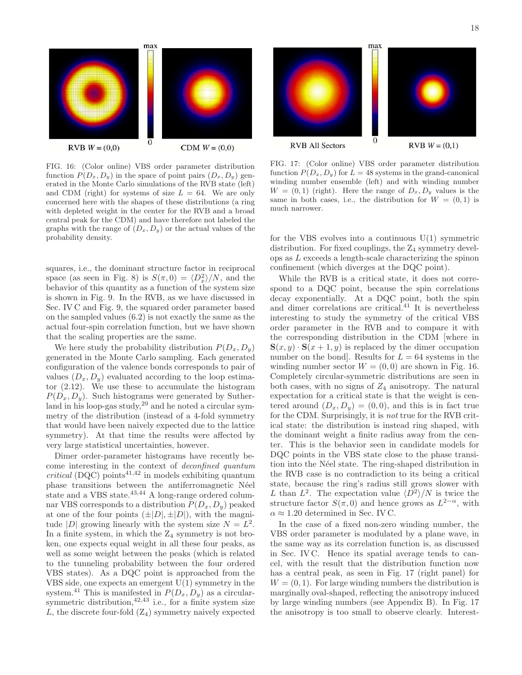

FIG. 16: (Color online) VBS order parameter distribution function  $P(D_x, D_y)$  in the space of point pairs  $(D_x, D_y)$  generated in the Monte Carlo simulations of the RVB state (left) and CDM (right) for systems of size  $L = 64$ . We are only concerned here with the shapes of these distributions (a ring with depleted weight in the center for the RVB and a broad central peak for the CDM) and have therefore not labeled the graphs with the range of  $(D_x, D_y)$  or the actual values of the probability density.

squares, i.e., the dominant structure factor in reciprocal space (as seen in Fig. 8) is  $S(\pi, 0) = \langle D_x^2 \rangle/N$ , and the behavior of this quantity as a function of the system size is shown in Fig. 9. In the RVB, as we have discussed in Sec. IV C and Fig. 9, the squared order parameter based on the sampled values (6.2) is not exactly the same as the actual four-spin correlation function, but we have shown that the scaling properties are the same.

We here study the probability distribution  $P(D_x, D_y)$ generated in the Monte Carlo sampling. Each generated configuration of the valence bonds corresponds to pair of values  $(D_x, D_y)$  evaluated according to the loop estimator (2.12). We use these to accumulate the histogram  $P(D_x, D_y)$ . Such histograms were generated by Sutherland in his loop-gas study, $29$  and he noted a circular symmetry of the distribution (instead of a 4-fold symmetry that would have been naively expected due to the lattice symmetry). At that time the results were affected by very large statistical uncertainties, however.

Dimer order-parameter histograms have recently become interesting in the context of deconfined quantum  $critical$  (DQC) points<sup>41,42</sup> in models exhibiting quantum phase transitions between the antiferromagnetic Néel state and a VBS state.<sup>43,44</sup> A long-range ordered columnar VBS corresponds to a distribution  $P(D_x, D_y)$  peaked at one of the four points  $(\pm |D|, \pm |D|)$ , with the magnitude |D| growing linearly with the system size  $N = L^2$ . In a finite system, in which the  $Z_4$  symmetry is not broken, one expects equal weight in all these four peaks, as well as some weight between the peaks (which is related to the tunneling probability between the four ordered VBS states). As a DQC point is approached from the VBS side, one expects an emergent  $U(1)$  symmetry in the system.<sup>41</sup> This is manifested in  $P(D_x, D_y)$  as a circularsymmetric distribution,  $42,43$  i.e., for a finite system size L, the discrete four-fold  $(Z_4)$  symmetry naively expected



FIG. 17: (Color online) VBS order parameter distribution function  $P(D_x, D_y)$  for  $L = 48$  systems in the grand-canonical winding number ensemble (left) and with winding number  $W = (0, 1)$  (right). Here the range of  $D_x, D_y$  values is the same in both cases, i.e., the distribution for  $W = (0, 1)$  is much narrower.

for the VBS evolves into a continuous  $U(1)$  symmetric distribution. For fixed couplings, the Z<sub>4</sub> symmetry develops as L exceeds a length-scale characterizing the spinon confinement (which diverges at the DQC point).

While the RVB is a critical state, it does not correspond to a DQC point, because the spin correlations decay exponentially. At a DQC point, both the spin and dimer correlations are critical.<sup>41</sup> It is nevertheless interesting to study the symmetry of the critical VBS order parameter in the RVB and to compare it with the corresponding distribution in the CDM [where in  $S(x, y) \cdot S(x + 1, y)$  is replaced by the dimer occupation number on the bond. Results for  $L = 64$  systems in the winding number sector  $W = (0, 0)$  are shown in Fig. 16. Completely circular-symmetric distributions are seen in both cases, with no signs of  $Z_4$  anisotropy. The natural expectation for a critical state is that the weight is centered around  $(D_x, D_y) = (0, 0)$ , and this is in fact true for the CDM. Surprisingly, it is not true for the RVB critical state: the distribution is instead ring shaped, with the dominant weight a finite radius away from the center. This is the behavior seen in candidate models for DQC points in the VBS state close to the phase transition into the Néel state. The ring-shaped distribution in the RVB case is no contradiction to its being a critical state, because the ring's radius still grows slower with L than  $L^2$ . The expectation value  $\langle D^2 \rangle/N$  is twice the structure factor  $S(\pi,0)$  and hence grows as  $L^{2-\alpha}$ , with  $\alpha \approx 1.20$  determined in Sec. IV C.

In the case of a fixed non-zero winding number, the VBS order parameter is modulated by a plane wave, in the same way as its correlation function is, as discussed in Sec. IV C. Hence its spatial average tends to cancel, with the result that the distribution function now has a central peak, as seen in Fig. 17 (right panel) for  $W = (0, 1)$ . For large winding numbers the distribution is marginally oval-shaped, reflecting the anisotropy induced by large winding numbers (see Appendix B). In Fig. 17 the anisotropy is too small to observe clearly. Interest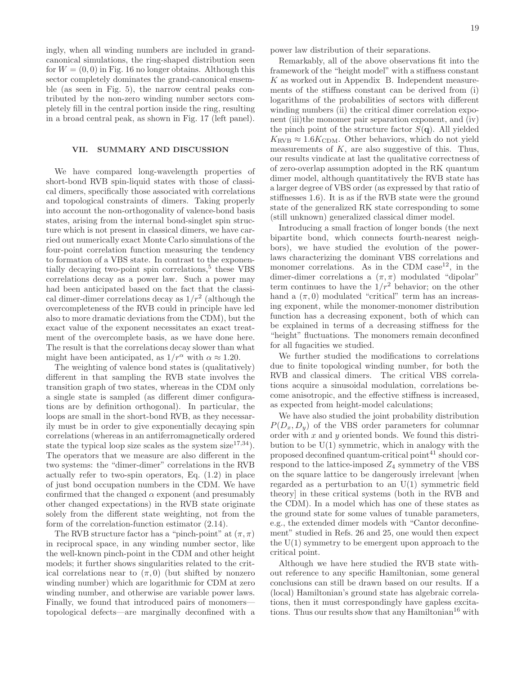ingly, when all winding numbers are included in grandcanonical simulations, the ring-shaped distribution seen for  $W = (0, 0)$  in Fig. 16 no longer obtains. Although this sector completely dominates the grand-canonical ensemble (as seen in Fig. 5), the narrow central peaks contributed by the non-zero winding number sectors completely fill in the central portion inside the ring, resulting in a broad central peak, as shown in Fig. 17 (left panel).

# VII. SUMMARY AND DISCUSSION

We have compared long-wavelength properties of short-bond RVB spin-liquid states with those of classical dimers, specifically those associated with correlations and topological constraints of dimers. Taking properly into account the non-orthogonality of valence-bond basis states, arising from the internal bond-singlet spin structure which is not present in classical dimers, we have carried out numerically exact Monte Carlo simulations of the four-point correlation function measuring the tendency to formation of a VBS state. In contrast to the exponentially decaying two-point spin correlations,<sup>5</sup> these VBS correlations decay as a power law. Such a power may had been anticipated based on the fact that the classical dimer-dimer correlations decay as  $1/r^2$  (although the overcompleteness of the RVB could in principle have led also to more dramatic deviations from the CDM), but the exact value of the exponent necessitates an exact treatment of the overcomplete basis, as we have done here. The result is that the correlations decay slower than what might have been anticipated, as  $1/r^{\alpha}$  with  $\alpha \approx 1.20$ .

The weighting of valence bond states is (qualitatively) different in that sampling the RVB state involves the transition graph of two states, whereas in the CDM only a single state is sampled (as different dimer configurations are by definition orthogonal). In particular, the loops are small in the short-bond RVB, as they necessarily must be in order to give exponentially decaying spin correlations (whereas in an antiferromagnetically ordered state the typical loop size scales as the system size<sup>17,34</sup>). The operators that we measure are also different in the two systems: the "dimer-dimer" correlations in the RVB actually refer to two-spin operators, Eq. (1.2) in place of just bond occupation numbers in the CDM. We have confirmed that the changed  $\alpha$  exponent (and presumably other changed expectations) in the RVB state originate solely from the different state weighting, not from the form of the correlation-function estimator (2.14).

The RVB structure factor has a "pinch-point" at  $(\pi, \pi)$ in reciprocal space, in any winding number sector, like the well-known pinch-point in the CDM and other height models; it further shows singularities related to the critical correlations near to  $(\pi, 0)$  (but shifted by nonzero winding number) which are logarithmic for CDM at zero winding number, and otherwise are variable power laws. Finally, we found that introduced pairs of monomers topological defects—are marginally deconfined with a power law distribution of their separations.

Remarkably, all of the above observations fit into the framework of the "height model" with a stiffness constant K as worked out in Appendix B. Independent measurements of the stiffness constant can be derived from (i) logarithms of the probabilities of sectors with different winding numbers (ii) the critical dimer correlation exponent (iii)the monomer pair separation exponent, and (iv) the pinch point of the structure factor  $S(\mathbf{q})$ . All yielded  $K_{\text{RVB}} \approx 1.6 K_{\text{CDM}}$ . Other behaviors, which do not yield measurements of  $K$ , are also suggestive of this. Thus, our results vindicate at last the qualitative correctness of of zero-overlap assumption adopted in the RK quantum dimer model, although quantitatively the RVB state has a larger degree of VBS order (as expressed by that ratio of stiffnesses 1.6). It is as if the RVB state were the ground state of the generalized RK state corresponding to some (still unknown) generalized classical dimer model.

Introducing a small fraction of longer bonds (the next bipartite bond, which connects fourth-nearest neighbors), we have studied the evolution of the powerlaws characterizing the dominant VBS correlations and monomer correlations. As in the CDM case<sup>12</sup>, in the dimer-dimer correlations a  $(\pi, \pi)$  modulated "dipolar" term continues to have the  $1/r^2$  behavior; on the other hand a  $(\pi, 0)$  modulated "critical" term has an increasing exponent, while the monomer-monomer distribution function has a decreasing exponent, both of which can be explained in terms of a decreasing stiffness for the "height" fluctuations. The monomers remain deconfined for all fugacities we studied.

We further studied the modifications to correlations due to finite topological winding number, for both the RVB and classical dimers. The critical VBS correlations acquire a sinusoidal modulation, correlations become anisotropic, and the effective stiffness is increased, as expected from height-model calculations;

We have also studied the joint probability distribution  $P(D_x, D_y)$  of the VBS order parameters for columnar order with  $x$  and  $y$  oriented bonds. We found this distribution to be  $U(1)$  symmetric, which in analogy with the proposed deconfined quantum-critical point $41$  should correspond to the lattice-imposed  $Z_4$  symmetry of the VBS on the square lattice to be dangerously irrelevant [when regarded as a perturbation to an  $U(1)$  symmetric field theory] in these critical systems (both in the RVB and the CDM). In a model which has one of these states as the ground state for some values of tunable parameters, e.g., the extended dimer models with "Cantor deconfinement" studied in Refs. 26 and 25, one would then expect the  $U(1)$  symmetry to be emergent upon approach to the critical point.

Although we have here studied the RVB state without reference to any specific Hamiltonian, some general conclusions can still be drawn based on our results. If a (local) Hamiltonian's ground state has algebraic correlations, then it must correspondingly have gapless excitations. Thus our results show that any Hamiltonian<sup>16</sup> with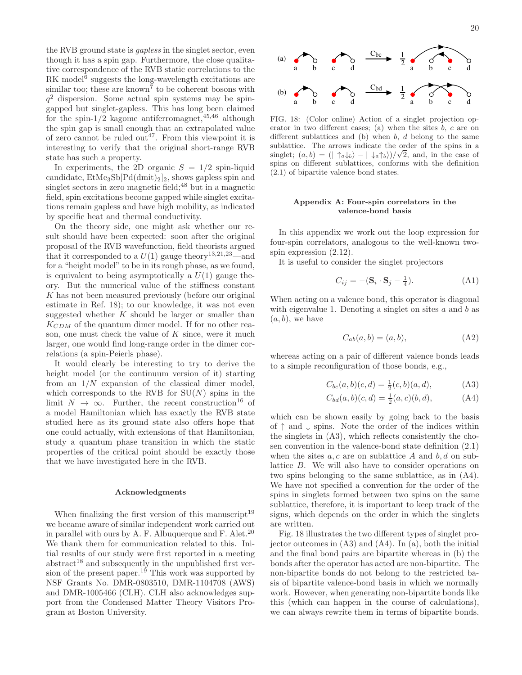the RVB ground state is gapless in the singlet sector, even though it has a spin gap. Furthermore, the close qualitative correspondence of the RVB static correlations to the RK model<sup>6</sup> suggests the long-wavelength excitations are similar too; these are known<sup>7</sup> to be coherent bosons with  $q<sup>2</sup>$  dispersion. Some actual spin systems may be spingapped but singlet-gapless. This has long been claimed for the spin-1/2 kagome antiferromagnet,  $45,46$  although the spin gap is small enough that an extrapolated value of zero cannot be ruled out<sup>47</sup>. From this viewpoint it is interesting to verify that the original short-range RVB state has such a property.

In experiments, the 2D organic  $S = 1/2$  spin-liquid candidate,  $\text{EtMe}_3\text{Sb}[\text{Pd}(dmit)_2]_2$ , shows gapless spin and singlet sectors in zero magnetic field;  $48$  but in a magnetic field, spin excitations become gapped while singlet excitations remain gapless and have high mobility, as indicated by specific heat and thermal conductivity.

On the theory side, one might ask whether our result should have been expected: soon after the original proposal of the RVB wavefunction, field theorists argued that it corresponded to a  $U(1)$  gauge theory<sup>13,21,23</sup>—and for a "height model" to be in its rough phase, as we found, is equivalent to being asymptotically a  $U(1)$  gauge theory. But the numerical value of the stiffness constant K has not been measured previously (before our original estimate in Ref. 18); to our knowledge, it was not even suggested whether  $K$  should be larger or smaller than  $K_{CDM}$  of the quantum dimer model. If for no other reason, one must check the value of  $K$  since, were it much larger, one would find long-range order in the dimer correlations (a spin-Peierls phase).

It would clearly be interesting to try to derive the height model (or the continuum version of it) starting from an  $1/N$  expansion of the classical dimer model, which corresponds to the RVB for  $SU(N)$  spins in the limit  $N \to \infty$ . Further, the recent construction<sup>16</sup> of a model Hamiltonian which has exactly the RVB state studied here as its ground state also offers hope that one could actually, with extensions of that Hamiltonian, study a quantum phase transition in which the static properties of the critical point should be exactly those that we have investigated here in the RVB.

#### Acknowledgments

When finalizing the first version of this manuscript<sup>19</sup> we became aware of similar independent work carried out in parallel with ours by A. F. Albuquerque and F. Alet.<sup>20</sup> We thank them for communication related to this. Initial results of our study were first reported in a meeting  $abstract<sup>18</sup>$  and subsequently in the unpublished first version of the present paper.<sup>19</sup> This work was supported by NSF Grants No. DMR-0803510, DMR-1104708 (AWS) and DMR-1005466 (CLH). CLH also acknowledges support from the Condensed Matter Theory Visitors Program at Boston University.



FIG. 18: (Color online) Action of a singlet projection operator in two different cases; (a) when the sites  $b, c$  are on different sublattices and  $(b)$  when  $b, d$  belong to the same sublattice. The arrows indicate the order of the spins in a singlet;  $(a, b) = (|\uparrow_a \downarrow_b\rangle - |\downarrow_a \uparrow_b\rangle)/\sqrt{2}$ , and, in the case of spins on different sublattices, conforms with the definition (2.1) of bipartite valence bond states.

# Appendix A: Four-spin correlators in the valence-bond basis

In this appendix we work out the loop expression for four-spin correlators, analogous to the well-known twospin expression (2.12).

It is useful to consider the singlet projectors

$$
C_{ij} = -(\mathbf{S}_i \cdot \mathbf{S}_j - \frac{1}{4}).\tag{A1}
$$

When acting on a valence bond, this operator is diagonal with eigenvalue 1. Denoting a singlet on sites  $a$  and  $b$  as  $(a, b)$ , we have

$$
C_{ab}(a,b) = (a,b), \tag{A2}
$$

whereas acting on a pair of different valence bonds leads to a simple reconfiguration of those bonds, e.g.,

$$
C_{bc}(a,b)(c,d) = \frac{1}{2}(c,b)(a,d),
$$
 (A3)

$$
C_{bd}(a,b)(c,d) = \frac{1}{2}(a,c)(b,d), \tag{A4}
$$

which can be shown easily by going back to the basis of  $\uparrow$  and  $\downarrow$  spins. Note the order of the indices within the singlets in (A3), which reflects consistently the chosen convention in the valence-bond state definition (2.1) when the sites  $a, c$  are on sublattice A and  $b, d$  on sublattice B. We will also have to consider operations on two spins belonging to the same sublattice, as in (A4). We have not specified a convention for the order of the spins in singlets formed between two spins on the same sublattice, therefore, it is important to keep track of the signs, which depends on the order in which the singlets are written.

Fig. 18 illustrates the two different types of singlet projector outcomes in (A3) and (A4). In (a), both the initial and the final bond pairs are bipartite whereas in (b) the bonds after the operator has acted are non-bipartite. The non-bipartite bonds do not belong to the restricted basis of bipartite valence-bond basis in which we normally work. However, when generating non-bipartite bonds like this (which can happen in the course of calculations), we can always rewrite them in terms of bipartite bonds.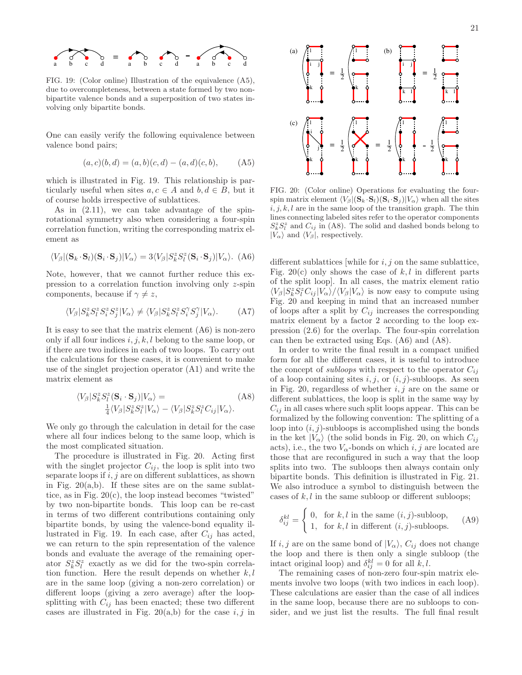

FIG. 19: (Color online) Illustration of the equivalence (A5), due to overcompleteness, between a state formed by two nonbipartite valence bonds and a superposition of two states involving only bipartite bonds.

One can easily verify the following equivalence between valence bond pairs;

$$
(a, c)(b, d) = (a, b)(c, d) - (a, d)(c, b), \quad (A5)
$$

which is illustrated in Fig. 19. This relationship is particularly useful when sites  $a, c \in A$  and  $b, d \in B$ , but it of course holds irrespective of sublattices.

As in (2.11), we can take advantage of the spinrotational symmetry also when considering a four-spin correlation function, writing the corresponding matrix element as

$$
\langle V_{\beta} | (\mathbf{S}_k \cdot \mathbf{S}_l) (\mathbf{S}_i \cdot \mathbf{S}_j) | V_{\alpha} \rangle = 3 \langle V_{\beta} | S_k^z S_l^z (\mathbf{S}_i \cdot \mathbf{S}_j) | V_{\alpha} \rangle. \tag{A6}
$$

Note, however, that we cannot further reduce this expression to a correlation function involving only z-spin components, because if  $\gamma \neq z$ ,

$$
\langle V_{\beta} | S_k^z S_l^z S_j^z S_j^z | V_{\alpha} \rangle \neq \langle V_{\beta} | S_k^z S_l^z S_j^{\gamma} S_j^{\gamma} | V_{\alpha} \rangle. \tag{A7}
$$

It is easy to see that the matrix element (A6) is non-zero only if all four indices  $i, j, k, l$  belong to the same loop, or if there are two indices in each of two loops. To carry out the calculations for these cases, it is convenient to make use of the singlet projection operator (A1) and write the matrix element as

$$
\langle V_{\beta} | S_{k}^{z} S_{l}^{z} (\mathbf{S}_{i} \cdot \mathbf{S}_{j}) | V_{\alpha} \rangle =
$$
\n
$$
\frac{1}{4} \langle V_{\beta} | S_{k}^{z} S_{l}^{z} | V_{\alpha} \rangle - \langle V_{\beta} | S_{k}^{z} S_{l}^{z} C_{ij} | V_{\alpha} \rangle.
$$
\n(A8)

We only go through the calculation in detail for the case where all four indices belong to the same loop, which is the most complicated situation.

The procedure is illustrated in Fig. 20. Acting first with the singlet projector  $C_{ij}$ , the loop is split into two separate loops if  $i, j$  are on different sublattices, as shown in Fig.  $20(a,b)$ . If these sites are on the same sublattice, as in Fig. 20(c), the loop instead becomes "twisted" by two non-bipartite bonds. This loop can be re-cast in terms of two different contributions containing only bipartite bonds, by using the valence-bond equality illustrated in Fig. 19. In each case, after  $C_{ij}$  has acted, we can return to the spin representation of the valence bonds and evaluate the average of the remaining operator  $S_k^z S_l^z$  exactly as we did for the two-spin correlation function. Here the result depends on whether  $k, l$ are in the same loop (giving a non-zero correlation) or different loops (giving a zero average) after the loopsplitting with  $C_{ij}$  has been enacted; these two different cases are illustrated in Fig. 20(a,b) for the case  $i, j$  in



FIG. 20: (Color online) Operations for evaluating the fourspin matrix element  $\langle V_\beta | (\mathbf{S}_k \cdot \mathbf{S}_l) (\mathbf{S}_i \cdot \mathbf{S}_j) | V_\alpha \rangle$  when all the sites  $i, j, k, l$  are in the same loop of the transition graph. The thin lines connecting labeled sites refer to the operator components  $S_k^z S_l^z$  and  $C_{ij}$  in (A8). The solid and dashed bonds belong to  $|V_{\alpha}\rangle$  and  $\langle V_{\beta}|$ , respectively.

different sublattices [while for  $i, j$  on the same sublattice, Fig. 20(c) only shows the case of  $k, l$  in different parts of the split loop]. In all cases, the matrix element ratio  $\langle V_\beta|S_k^zS_l^zC_{ij}|V_\alpha\rangle/\langle V_\beta|V_\alpha\rangle$  is now easy to compute using Fig. 20 and keeping in mind that an increased number of loops after a split by  $C_{ij}$  increases the corresponding matrix element by a factor 2 according to the loop expression (2.6) for the overlap. The four-spin correlation can then be extracted using Eqs. (A6) and (A8).

In order to write the final result in a compact unified form for all the different cases, it is useful to introduce the concept of *subloops* with respect to the operator  $C_{ij}$ of a loop containing sites  $i, j$ , or  $(i, j)$ -subloops. As seen in Fig. 20, regardless of whether  $i, j$  are on the same or different sublattices, the loop is split in the same way by  $C_{ij}$  in all cases where such split loops appear. This can be formalized by the following convention: The splitting of a loop into  $(i, j)$ -subloops is accomplished using the bonds in the ket  $|V_{\alpha}\rangle$  (the solid bonds in Fig. 20, on which  $C_{ij}$ acts), i.e., the two  $V_{\alpha}$ -bonds on which i, j are located are those that are reconfigured in such a way that the loop splits into two. The subloops then always contain only bipartite bonds. This definition is illustrated in Fig. 21. We also introduce a symbol to distinguish between the cases of  $k, l$  in the same subloop or different subloops;

$$
\delta_{ij}^{kl} = \begin{cases} 0, & \text{for } k, l \text{ in the same } (i, j)\text{-subloop,} \\ 1, & \text{for } k, l \text{ in different } (i, j)\text{-subloops.} \end{cases} \tag{A9}
$$

If  $i, j$  are on the same bond of  $|V_{\alpha}\rangle$ ,  $C_{ij}$  does not change the loop and there is then only a single subloop (the intact original loop) and  $\delta_{ij}^{kl} = 0$  for all k, l.

The remaining cases of non-zero four-spin matrix elements involve two loops (with two indices in each loop). These calculations are easier than the case of all indices in the same loop, because there are no subloops to consider, and we just list the results. The full final result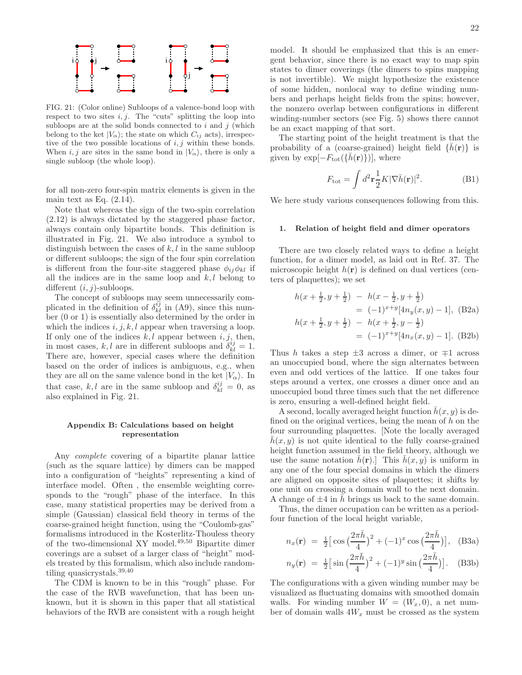

FIG. 21: (Color online) Subloops of a valence-bond loop with respect to two sites  $i, j$ . The "cuts" splitting the loop into subloops are at the solid bonds connected to  $i$  and  $j$  (which belong to the ket  $|V_{\alpha}\rangle$ ; the state on which  $C_{ij}$  acts), irrespective of the two possible locations of  $i, j$  within these bonds. When i, j are sites in the same bond in  $|V_{\alpha}\rangle$ , there is only a single subloop (the whole loop).

for all non-zero four-spin matrix elements is given in the main text as Eq.  $(2.14)$ .

Note that whereas the sign of the two-spin correlation (2.12) is always dictated by the staggered phase factor, always contain only bipartite bonds. This definition is illustrated in Fig. 21. We also introduce a symbol to distinguish between the cases of  $k, l$  in the same subloop or different subloops; the sign of the four spin correlation is different from the four-site staggered phase  $\phi_{ij}\phi_{kl}$  if all the indices are in the same loop and  $k, l$  belong to different  $(i, j)$ -subloops.

The concept of subloops may seem unnecessarily complicated in the definition of  $\delta_{kl}^{ij}$  in (A9), since this number (0 or 1) is essentially also determined by the order in which the indices  $i, j, k, l$  appear when traversing a loop. If only one of the indices  $k, l$  appear between  $i, j$ , then, in most cases, k, l are in different subloops and  $\delta_{kl}^{ij} = 1$ . There are, however, special cases where the definition based on the order of indices is ambiguous, e.g., when they are all on the same valence bond in the ket  $|V_{\alpha}\rangle$ . In that case, k, l are in the same subloop and  $\delta_{kl}^{ij} = 0$ , as also explained in Fig. 21.

# Appendix B: Calculations based on height representation

Any complete covering of a bipartite planar lattice (such as the square lattice) by dimers can be mapped into a configuration of "heights" representing a kind of interface model. Often , the ensemble weighting corresponds to the "rough" phase of the interface. In this case, many statistical properties may be derived from a simple (Gaussian) classical field theory in terms of the coarse-grained height function, using the "Coulomb-gas" formalisms introduced in the Kosterlitz-Thouless theory of the two-dimensional XY model.49,50 Bipartite dimer coverings are a subset of a larger class of "height" models treated by this formalism, which also include randomtiling quasicrystals.39,40

The CDM is known to be in this "rough" phase. For the case of the RVB wavefunction, that has been unknown, but it is shown in this paper that all statistical behaviors of the RVB are consistent with a rough height

model. It should be emphasized that this is an emergent behavior, since there is no exact way to map spin states to dimer coverings (the dimers to spins mapping is not invertible). We might hypothesize the existence of some hidden, nonlocal way to define winding numbers and perhaps height fields from the spins; however, the nonzero overlap between configurations in different winding-number sectors (see Fig. 5) shows there cannot be an exact mapping of that sort.

The starting point of the height treatment is that the probability of a (coarse-grained) height field  $\{h(\mathbf{r})\}$  is given by  $\exp[-F_{\text{tot}}(\{h(\mathbf{r})\})]$ , where

$$
F_{\text{tot}} = \int d^2 \mathbf{r} \frac{1}{2} K |\nabla \bar{h}(\mathbf{r})|^2. \tag{B1}
$$

We here study various consequences following from this.

#### 1. Relation of height field and dimer operators

There are two closely related ways to define a height function, for a dimer model, as laid out in Ref. 37. The microscopic height  $h(\mathbf{r})$  is defined on dual vertices (centers of plaquettes); we set

$$
h(x + \frac{1}{2}, y + \frac{1}{2}) - h(x - \frac{1}{2}, y + \frac{1}{2})
$$
  
= (-1)<sup>x+y</sup>[4n<sub>y</sub>(x, y) - 1], (B2a)  

$$
h(x + \frac{1}{2}, y + \frac{1}{2}) - h(x + \frac{1}{2}, y - \frac{1}{2})
$$
  
= (-1)<sup>x+y</sup>[4n<sub>x</sub>(x, y) - 1]. (B2b)

Thus h takes a step  $\pm 3$  across a dimer, or  $\mp 1$  across an unoccupied bond, where the sign alternates between even and odd vertices of the lattice. If one takes four steps around a vertex, one crosses a dimer once and an unoccupied bond three times such that the net difference is zero, ensuring a well-defined height field.

A second, locally averaged height function  $\bar{h}(x, y)$  is defined on the original vertices, being the mean of  $h$  on the four surrounding plaquettes. [Note the locally averaged  $h(x, y)$  is not quite identical to the fully coarse-grained height function assumed in the field theory, although we use the same notation  $\bar{h}(\mathbf{r})$ . This  $\bar{h}(x, y)$  is uniform in any one of the four special domains in which the dimers are aligned on opposite sites of plaquettes; it shifts by one unit on crossing a domain wall to the next domain. A change of  $\pm 4$  in h brings us back to the same domain.

Thus, the dimer occupation can be written as a periodfour function of the local height variable,

$$
n_x(\mathbf{r}) = \frac{1}{2} \left[ \cos \left( \frac{2\pi \bar{h}}{4} \right)^2 + (-1)^x \cos \left( \frac{2\pi \bar{h}}{4} \right) \right], \quad \text{(B3a)}
$$

$$
n_y(\mathbf{r}) = \frac{1}{2} \left[ \sin \left( \frac{2\pi \bar{h}}{4} \right)^2 + (-1)^y \sin \left( \frac{2\pi \bar{h}}{4} \right) \right].
$$
 (B3b)

The configurations with a given winding number may be visualized as fluctuating domains with smoothed domain walls. For winding number  $W = (W_x, 0)$ , a net number of domain walls  $4W_x$  must be crossed as the system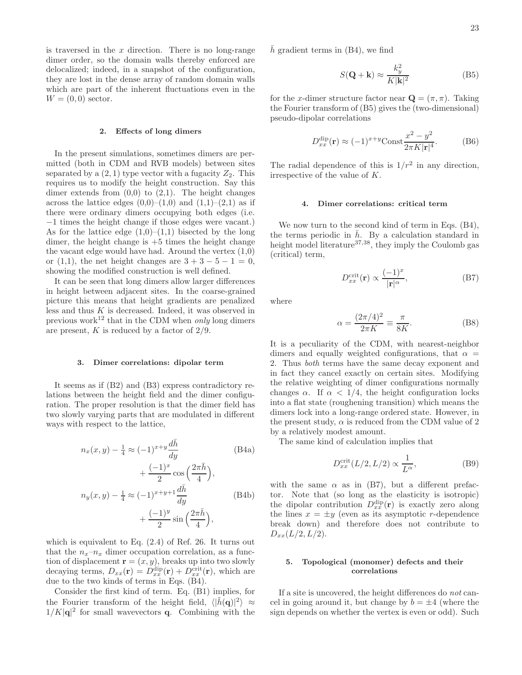is traversed in the  $x$  direction. There is no long-range dimer order, so the domain walls thereby enforced are delocalized; indeed, in a snapshot of the configuration, they are lost in the dense array of random domain walls which are part of the inherent fluctuations even in the  $W = (0, 0)$  sector.

#### 2. Effects of long dimers

In the present simulations, sometimes dimers are permitted (both in CDM and RVB models) between sites separated by a  $(2, 1)$  type vector with a fugacity  $Z_2$ . This requires us to modify the height construction. Say this dimer extends from  $(0,0)$  to  $(2,1)$ . The height changes across the lattice edges  $(0,0)$ – $(1,0)$  and  $(1,1)$ – $(2,1)$  as if there were ordinary dimers occupying both edges (i.e. −1 times the height change if those edges were vacant.) As for the lattice edge  $(1,0)$ – $(1,1)$  bisected by the long dimer, the height change is  $+5$  times the height change the vacant edge would have had. Around the vertex  $(1,0)$ or (1,1), the net height changes are  $3 + 3 - 5 - 1 = 0$ , showing the modified construction is well defined.

It can be seen that long dimers allow larger differences in height between adjacent sites. In the coarse-grained picture this means that height gradients are penalized less and thus  $K$  is decreased. Indeed, it was observed in previous work<sup>12</sup> that in the CDM when *only* long dimers are present,  $K$  is reduced by a factor of  $2/9$ .

#### 3. Dimer correlations: dipolar term

It seems as if (B2) and (B3) express contradictory relations between the height field and the dimer configuration. The proper resolution is that the dimer field has two slowly varying parts that are modulated in different ways with respect to the lattice,

$$
n_x(x, y) - \frac{1}{4} \approx (-1)^{x+y} \frac{d\bar{h}}{dy}
$$
(B4a)  
 
$$
+ \frac{(-1)^x}{2} \cos\left(\frac{2\pi \bar{h}}{4}\right),
$$
  
\n
$$
n_y(x, y) - \frac{1}{4} \approx (-1)^{x+y+1} \frac{d\bar{h}}{dy}
$$
(B4b)  
\n
$$
+ \frac{(-1)^y}{2} \sin\left(\frac{2\pi \bar{h}}{4}\right),
$$

which is equivalent to Eq. (2.4) of Ref. 26. It turns out that the  $n_x-n_x$  dimer occupation correlation, as a function of displacement  $\mathbf{r} = (x, y)$ , breaks up into two slowly decaying terms,  $D_{xx}(\mathbf{r}) = D_{xx}^{\text{dip}}(\mathbf{r}) + D_{xx}^{\text{crit}}(\mathbf{r})$ , which are due to the two kinds of terms in Eqs. (B4).

Consider the first kind of term. Eq. (B1) implies, for the Fourier transform of the height field,  $\langle |\tilde{h}(\mathbf{q})|^2 \rangle \approx$  $1/K|\mathbf{q}|^2$  for small wavevectors **q**. Combining with the  $h$  gradient terms in  $(B4)$ , we find

$$
S(\mathbf{Q} + \mathbf{k}) \approx \frac{k_y^2}{K|\mathbf{k}|^2}
$$
 (B5)

for the x-dimer structure factor near  $\mathbf{Q} = (\pi, \pi)$ . Taking the Fourier transform of (B5) gives the (two-dimensional) pseudo-dipolar correlations

$$
D_{xx}^{\text{dip}}(\mathbf{r}) \approx (-1)^{x+y} \text{Const} \frac{x^2 - y^2}{2\pi K |\mathbf{r}|^4}.
$$
 (B6)

The radial dependence of this is  $1/r^2$  in any direction, irrespective of the value of K.

# 4. Dimer correlations: critical term

We now turn to the second kind of term in Eqs. (B4), the terms periodic in  $\bar{h}$ . By a calculation standard in height model literature $37,38$ , they imply the Coulomb gas (critical) term,

$$
D_{xx}^{\text{crit}}(\mathbf{r}) \propto \frac{(-1)^x}{|\mathbf{r}|^\alpha},\tag{B7}
$$

where

$$
\alpha = \frac{(2\pi/4)^2}{2\pi K} \equiv \frac{\pi}{8K}.
$$
 (B8)

It is a peculiarity of the CDM, with nearest-neighbor dimers and equally weighted configurations, that  $\alpha =$ 2. Thus both terms have the same decay exponent and in fact they cancel exactly on certain sites. Modifying the relative weighting of dimer configurations normally changes  $\alpha$ . If  $\alpha < 1/4$ , the height configuration locks into a flat state (roughening transition) which means the dimers lock into a long-range ordered state. However, in the present study,  $\alpha$  is reduced from the CDM value of 2 by a relatively modest amount.

The same kind of calculation implies that

$$
D_{xx}^{\text{crit}}(L/2, L/2) \propto \frac{1}{L^{\alpha}},\tag{B9}
$$

with the same  $\alpha$  as in (B7), but a different prefactor. Note that (so long as the elasticity is isotropic) the dipolar contribution  $D_{xx}^{\text{dip}}(\mathbf{r})$  is exactly zero along the lines  $x = \pm y$  (even as its asymptotic r-dependence break down) and therefore does not contribute to  $D_{xx}(L/2, L/2).$ 

# 5. Topological (monomer) defects and their correlations

If a site is uncovered, the height differences do not cancel in going around it, but change by  $b = \pm 4$  (where the sign depends on whether the vertex is even or odd). Such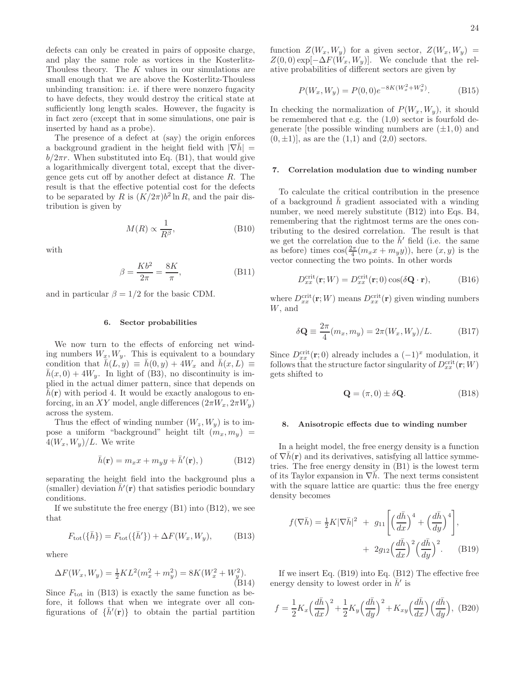defects can only be created in pairs of opposite charge, and play the same role as vortices in the Kosterlitz-Thouless theory. The K values in our simulations are small enough that we are above the Kosterlitz-Thouless unbinding transition: i.e. if there were nonzero fugacity to have defects, they would destroy the critical state at sufficiently long length scales. However, the fugacity is in fact zero (except that in some simulations, one pair is inserted by hand as a probe).

The presence of a defect at (say) the origin enforces a background gradient in the height field with  $|\nabla h|$  =  $b/2\pi r$ . When substituted into Eq. (B1), that would give a logarithmically divergent total, except that the divergence gets cut off by another defect at distance  $R$ . The result is that the effective potential cost for the defects to be separated by R is  $(K/2\pi)b^2 \ln R$ , and the pair distribution is given by

$$
M(R) \propto \frac{1}{R^{\beta}},\tag{B10}
$$

with

$$
\beta = \frac{Kb^2}{2\pi} = \frac{8K}{\pi},\tag{B11}
$$

and in particular  $\beta = 1/2$  for the basic CDM.

#### 6. Sector probabilities

We now turn to the effects of enforcing net winding numbers  $W_x, W_y$ . This is equivalent to a boundary condition that  $\bar{h}(L, y) \equiv \bar{h}(0, y) + 4W_x$  and  $\bar{h}(x, L) \equiv$  $\bar{h}(x, 0) + 4W_y$ . In light of (B3), no discontinuity is implied in the actual dimer pattern, since that depends on  $h(\mathbf{r})$  with period 4. It would be exactly analogous to enforcing, in an XY model, angle differences  $(2\pi W_x, 2\pi W_y)$ across the system.

Thus the effect of winding number  $(W_z, W_y)$  is to impose a uniform "background" height tilt  $(m_x, m_y)$  =  $4(W_x, W_y)/L$ . We write

$$
\bar{h}(\mathbf{r}) = m_x x + m_y y + \bar{h}'(\mathbf{r}), \qquad (B12)
$$

separating the height field into the background plus a (smaller) deviation  $\bar{h}'(\mathbf{r})$  that satisfies periodic boundary conditions.

If we substitute the free energy (B1) into (B12), we see that

$$
F_{\text{tot}}(\lbrace \bar{h} \rbrace) = F_{\text{tot}}(\lbrace \bar{h}' \rbrace) + \Delta F(W_x, W_y), \tag{B13}
$$

where

$$
\Delta F(W_x, W_y) = \frac{1}{2}KL^2(m_x^2 + m_y^2) = 8K(W_x^2 + W_y^2). \tag{B14}
$$

Since  $F_{\text{tot}}$  in (B13) is exactly the same function as before, it follows that when we integrate over all configurations of  $\{\bar{h}'(\mathbf{r})\}$  to obtain the partial partition function  $Z(W_x, W_y)$  for a given sector,  $Z(W_x, W_y)$  =  $Z(0,0) \exp[-\Delta F(W_x, W_y)].$  We conclude that the relative probabilities of different sectors are given by

$$
P(W_x, W_y) = P(0, 0)e^{-8K(W_x^2 + W_y^2)}.
$$
 (B15)

In checking the normalization of  $P(W_x, W_y)$ , it should be remembered that e.g. the  $(1,0)$  sector is fourfold degenerate [the possible winding numbers are  $(\pm 1, 0)$  and  $(0, \pm 1)$ , as are the  $(1,1)$  and  $(2,0)$  sectors.

#### 7. Correlation modulation due to winding number

To calculate the critical contribution in the presence of a background  $\bar{h}$  gradient associated with a winding number, we need merely substitute (B12) into Eqs. B4, remembering that the rightmost terms are the ones contributing to the desired correlation. The result is that we get the correlation due to the  $\bar{h}'$  field (i.e. the same as before) times  $\cos(\frac{2\pi}{4}(m_x x + m_y y))$ , here  $(x, y)$  is the vector connecting the two points. In other words

$$
D_{xx}^{\text{crit}}(\mathbf{r};W) = D_{xx}^{\text{crit}}(\mathbf{r};0)\cos(\delta \mathbf{Q} \cdot \mathbf{r}),\tag{B16}
$$

where  $D_{xx}^{\text{crit}}(\mathbf{r};W)$  means  $D_{xx}^{\text{crit}}(\mathbf{r})$  given winding numbers W, and

$$
\delta \mathbf{Q} \equiv \frac{2\pi}{4} (m_x, m_y) = 2\pi (W_x, W_y) / L. \tag{B17}
$$

Since  $D_{xx}^{\text{crit}}(\mathbf{r};0)$  already includes a  $(-1)^x$  modulation, it follows that the structure factor singularity of  $D_{xx}^{\text{crit}}(\mathbf{r};W)$ gets shifted to

$$
\mathbf{Q} = (\pi, 0) \pm \delta \mathbf{Q}.
$$
 (B18)

#### 8. Anisotropic effects due to winding number

In a height model, the free energy density is a function of  $\nabla h(\mathbf{r})$  and its derivatives, satisfying all lattice symmetries. The free energy density in (B1) is the lowest term of its Taylor expansion in  $\nabla h$ . The next terms consistent with the square lattice are quartic: thus the free energy density becomes

$$
f(\nabla \bar{h}) = \frac{1}{2} K |\nabla \bar{h}|^2 + g_{11} \left[ \left( \frac{d\bar{h}}{dx} \right)^4 + \left( \frac{d\bar{h}}{dy} \right)^4 \right],
$$
  
+ 
$$
2g_{12} \left( \frac{d\bar{h}}{dx} \right)^2 \left( \frac{d\bar{h}}{dy} \right)^2.
$$
 (B19)

If we insert Eq. (B19) into Eq. (B12) The effective free energy density to lowest order in  $\bar{h}'$  is

$$
f = \frac{1}{2}K_x \left(\frac{d\bar{h}}{dx}\right)^2 + \frac{1}{2}K_y \left(\frac{d\bar{h}}{dy}\right)^2 + K_{xy} \left(\frac{d\bar{h}}{dx}\right) \left(\frac{d\bar{h}}{dy}\right), \tag{B20}
$$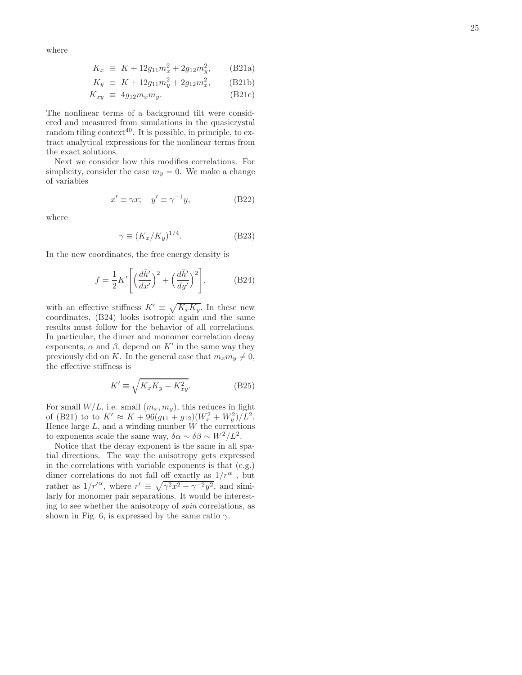where

$$
K_x \equiv K + 12g_{11}m_x^2 + 2g_{12}m_y^2, \qquad \text{(B21a)}
$$

$$
K_y \equiv K + 12g_{11}m_y^2 + 2g_{12}m_x^2, \qquad \text{(B21b)}
$$

$$
K_{xy} \equiv 4g_{12}m_x m_y. \tag{B21c}
$$

The nonlinear terms of a background tilt were considered and measured from simulations in the quasicrystal random tiling context<sup>40</sup>. It is possible, in principle, to extract analytical expressions for the nonlinear terms from the exact solutions.

Next we consider how this modifies correlations. For simplicity, consider the case  $m_y = 0$ . We make a change of variables

$$
x' \equiv \gamma x; \quad y' \equiv \gamma^{-1} y,\tag{B22}
$$

where

$$
\gamma \equiv (K_x/K_y)^{1/4}.\tag{B23}
$$

In the new coordinates, the free energy density is

$$
f = \frac{1}{2}K'\left[\left(\frac{d\bar{h}'}{dx'}\right)^2 + \left(\frac{d\bar{h}'}{dy'}\right)^2\right],\tag{B24}
$$

with an effective stiffness  $K' \equiv \sqrt{K_x K_y}$ . In these new coordinates, (B24) looks isotropic again and the same results must follow for the behavior of all correlations. In particular, the dimer and monomer correlation decay exponents,  $\alpha$  and  $\beta$ , depend on K' in the same way they previously did on K. In the general case that  $m_x m_y \neq 0$ , the effective stiffness is

$$
K' \equiv \sqrt{K_x K_y - K_{xy}^2}.\tag{B25}
$$

For small  $W/L$ , i.e. small  $(m_x, m_y)$ , this reduces in light of (B21) to to  $K' \approx K + 96(g_{11} + g_{12})(W_x^2 + W_y^2)/L^2$ . Hence large  $L$ , and a winding number  $W$  the corrections to exponents scale the same way,  $\delta \alpha \sim \delta \beta \sim W^2/L^2$ .

Notice that the decay exponent is the same in all spatial directions. The way the anisotropy gets expressed in the correlations with variable exponents is that (e.g.) dimer correlations do not fall off exactly as  $1/r^{\alpha}$ , but rather as  $1/r'^{\alpha}$ , where  $r' \equiv \sqrt{\gamma^2 x^2 + \gamma^{-2} y^2}$ , and similarly for monomer pair separations. It would be interesting to see whether the anisotropy of spin correlations, as shown in Fig. 6, is expressed by the same ratio  $\gamma$ .